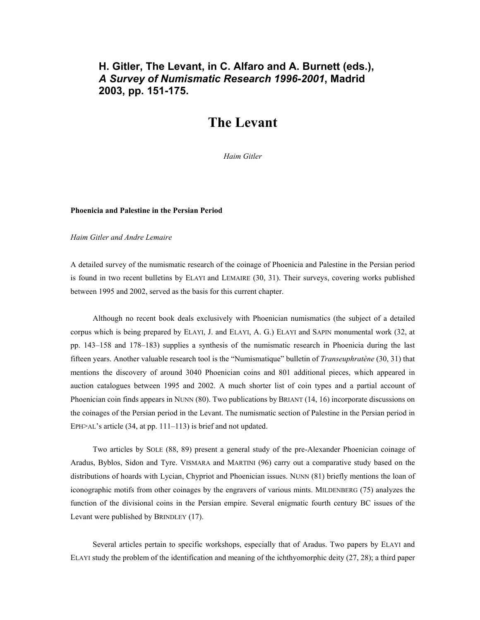# **H. Gitler, The Levant, in C. Alfaro and A. Burnett (eds.),** *A Survey of Numismatic Research 1996-2001***, Madrid 2003, pp. 151-175.**

# **The Levant**

*Haim Gitler* 

#### **Phoenicia and Palestine in the Persian Period**

#### *Haim Gitler and Andre Lemaire*

A detailed survey of the numismatic research of the coinage of Phoenicia and Palestine in the Persian period is found in two recent bulletins by ELAYI and LEMAIRE (30, 31). Their surveys, covering works published between 1995 and 2002, served as the basis for this current chapter.

 Although no recent book deals exclusively with Phoenician numismatics (the subject of a detailed corpus which is being prepared by ELAYI, J. and ELAYI, A. G.) ELAYI and SAPIN monumental work (32, at pp. 143–158 and 178–183) supplies a synthesis of the numismatic research in Phoenicia during the last fifteen years. Another valuable research tool is the "Numismatique" bulletin of *Transeuphratène* (30, 31) that mentions the discovery of around 3040 Phoenician coins and 801 additional pieces, which appeared in auction catalogues between 1995 and 2002. A much shorter list of coin types and a partial account of Phoenician coin finds appears in NUNN (80). Two publications by BRIANT (14, 16) incorporate discussions on the coinages of the Persian period in the Levant. The numismatic section of Palestine in the Persian period in EPH>AL's article (34, at pp. 111–113) is brief and not updated.

 Two articles by SOLE (88, 89) present a general study of the pre-Alexander Phoenician coinage of Aradus, Byblos, Sidon and Tyre. VISMARA and MARTINI (96) carry out a comparative study based on the distributions of hoards with Lycian, Chypriot and Phoenician issues. NUNN (81) briefly mentions the loan of iconographic motifs from other coinages by the engravers of various mints. MILDENBERG (75) analyzes the function of the divisional coins in the Persian empire. Several enigmatic fourth century BC issues of the Levant were published by BRINDLEY (17).

 Several articles pertain to specific workshops, especially that of Aradus. Two papers by ELAYI and ELAYI study the problem of the identification and meaning of the ichthyomorphic deity (27, 28); a third paper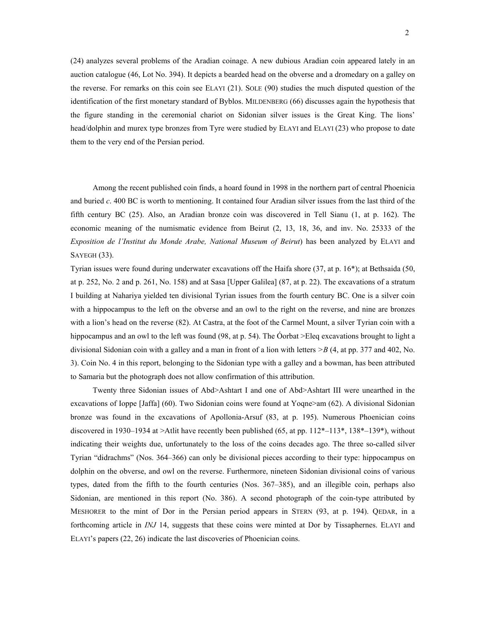(24) analyzes several problems of the Aradian coinage. A new dubious Aradian coin appeared lately in an auction catalogue (46, Lot No. 394). It depicts a bearded head on the obverse and a dromedary on a galley on the reverse. For remarks on this coin see ELAYI (21). SOLE (90) studies the much disputed question of the identification of the first monetary standard of Byblos. MILDENBERG (66) discusses again the hypothesis that the figure standing in the ceremonial chariot on Sidonian silver issues is the Great King. The lions' head/dolphin and murex type bronzes from Tyre were studied by ELAYI and ELAYI (23) who propose to date them to the very end of the Persian period.

 Among the recent published coin finds, a hoard found in 1998 in the northern part of central Phoenicia and buried *c*. 400 BC is worth to mentioning. It contained four Aradian silver issues from the last third of the fifth century BC (25). Also, an Aradian bronze coin was discovered in Tell Sianu (1, at p. 162). The economic meaning of the numismatic evidence from Beirut (2, 13, 18, 36, and inv. No. 25333 of the *Exposition de l'Institut du Monde Arabe, National Museum of Beirut*) has been analyzed by ELAYI and SAYEGH (33).

Tyrian issues were found during underwater excavations off the Haifa shore (37, at p. 16\*); at Bethsaida (50, at p. 252, No. 2 and p. 261, No. 158) and at Sasa [Upper Galilea] (87, at p. 22). The excavations of a stratum I building at Nahariya yielded ten divisional Tyrian issues from the fourth century BC. One is a silver coin with a hippocampus to the left on the obverse and an owl to the right on the reverse, and nine are bronzes with a lion's head on the reverse (82). At Castra, at the foot of the Carmel Mount, a silver Tyrian coin with a hippocampus and an owl to the left was found (98, at p. 54). The Óorbat >Eleq excavations brought to light a divisional Sidonian coin with a galley and a man in front of a lion with letters *>B* (4, at pp. 377 and 402, No. 3). Coin No. 4 in this report, belonging to the Sidonian type with a galley and a bowman, has been attributed to Samaria but the photograph does not allow confirmation of this attribution.

 Twenty three Sidonian issues of Abd>Ashtart I and one of Abd>Ashtart III were unearthed in the excavations of Ioppe [Jaffa] (60). Two Sidonian coins were found at Yoqne>am (62). A divisional Sidonian bronze was found in the excavations of Apollonia-Arsuf (83, at p. 195). Numerous Phoenician coins discovered in 1930–1934 at >Atlit have recently been published (65, at pp. 112\*–113\*, 138\*–139\*), without indicating their weights due, unfortunately to the loss of the coins decades ago. The three so-called silver Tyrian "didrachms" (Nos. 364–366) can only be divisional pieces according to their type: hippocampus on dolphin on the obverse, and owl on the reverse. Furthermore, nineteen Sidonian divisional coins of various types, dated from the fifth to the fourth centuries (Nos. 367–385), and an illegible coin, perhaps also Sidonian, are mentioned in this report (No. 386). A second photograph of the coin-type attributed by MESHORER to the mint of Dor in the Persian period appears in STERN (93, at p. 194). QEDAR, in a forthcoming article in *INJ* 14, suggests that these coins were minted at Dor by Tissaphernes. ELAYI and ELAYI's papers (22, 26) indicate the last discoveries of Phoenician coins.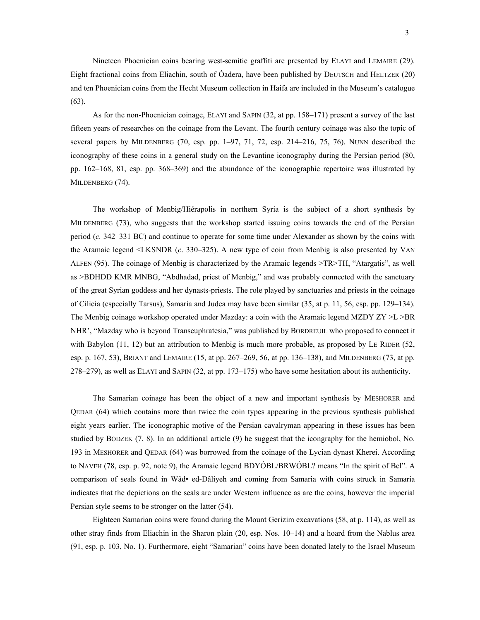Nineteen Phoenician coins bearing west-semitic graffiti are presented by ELAYI and LEMAIRE (29). Eight fractional coins from Eliachin, south of Óadera, have been published by DEUTSCH and HELTZER (20) and ten Phoenician coins from the Hecht Museum collection in Haifa are included in the Museum's catalogue (63).

 As for the non-Phoenician coinage, ELAYI and SAPIN (32, at pp. 158–171) present a survey of the last fifteen years of researches on the coinage from the Levant. The fourth century coinage was also the topic of several papers by MILDENBERG (70, esp. pp. 1–97, 71, 72, esp. 214–216, 75, 76). NUNN described the iconography of these coins in a general study on the Levantine iconography during the Persian period (80, pp. 162–168, 81, esp. pp. 368–369) and the abundance of the iconographic repertoire was illustrated by MILDENBERG (74).

 The workshop of Menbig/Hiérapolis in northern Syria is the subject of a short synthesis by MILDENBERG (73), who suggests that the workshop started issuing coins towards the end of the Persian period (*c.* 342–331 BC) and continue to operate for some time under Alexander as shown by the coins with the Aramaic legend <LKSNDR (*c*. 330–325). A new type of coin from Menbig is also presented by VAN ALFEN (95). The coinage of Menbig is characterized by the Aramaic legends >TR>TH, "Atargatis", as well as >BDHDD KMR MNBG, "Abdhadad, priest of Menbig," and was probably connected with the sanctuary of the great Syrian goddess and her dynasts-priests. The role played by sanctuaries and priests in the coinage of Cilicia (especially Tarsus), Samaria and Judea may have been similar (35, at p. 11, 56, esp. pp. 129–134). The Menbig coinage workshop operated under Mazday: a coin with the Aramaic legend MZDY ZY >L >BR NHR', "Mazday who is beyond Transeuphratesia," was published by BORDREUIL who proposed to connect it with Babylon (11, 12) but an attribution to Menbig is much more probable, as proposed by LE RIDER (52, esp. p. 167, 53), BRIANT and LEMAIRE (15, at pp. 267–269, 56, at pp. 136–138), and MILDENBERG (73, at pp. 278–279), as well as ELAYI and SAPIN (32, at pp. 173–175) who have some hesitation about its authenticity.

 The Samarian coinage has been the object of a new and important synthesis by MESHORER and QEDAR (64) which contains more than twice the coin types appearing in the previous synthesis published eight years earlier. The iconographic motive of the Persian cavalryman appearing in these issues has been studied by BODZEK (7, 8). In an additional article (9) he suggest that the icongraphy for the hemiobol, No. 193 in MESHORER and QEDAR (64) was borrowed from the coinage of the Lycian dynast Kherei. According to NAVEH (78, esp. p. 92, note 9), the Aramaic legend BDYÓBL/BRWÓBL? means "In the spirit of Bel". A comparison of seals found in Wâd• ed-Dâliyeh and coming from Samaria with coins struck in Samaria indicates that the depictions on the seals are under Western influence as are the coins, however the imperial Persian style seems to be stronger on the latter (54).

 Eighteen Samarian coins were found during the Mount Gerizim excavations (58, at p. 114), as well as other stray finds from Eliachin in the Sharon plain (20, esp. Nos. 10–14) and a hoard from the Nablus area (91, esp. p. 103, No. 1). Furthermore, eight "Samarian" coins have been donated lately to the Israel Museum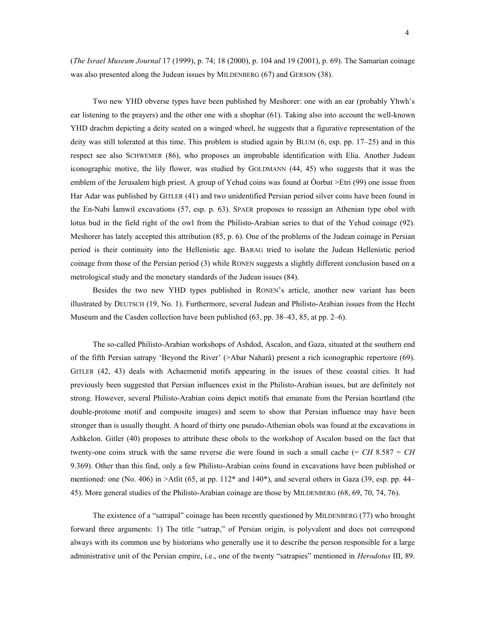(*The Israel Museum Journal* 17 (1999), p. 74; 18 (2000), p. 104 and 19 (2001), p. 69). The Samarian coinage was also presented along the Judean issues by MILDENBERG (67) and GERSON (38).

 Two new YHD obverse types have been published by Meshorer: one with an ear (probably Yhwh's ear listening to the prayers) and the other one with a shophar (61). Taking also into account the well-known YHD drachm depicting a deity seated on a winged wheel, he suggests that a figurative representation of the deity was still tolerated at this time. This problem is studied again by BLUM (6, esp. pp. 17–25) and in this respect see also SCHWEMER (86), who proposes an improbable identification with Elia. Another Judean iconographic motive, the lily flower, was studied by GOLDMANN (44, 45) who suggests that it was the emblem of the Jerusalem high priest. A group of Yehud coins was found at Óorbat >Etri (99) one issue from Har Adar was published by GITLER (41) and two unidentified Persian period silver coins have been found in the En-Nabi Íamwil excavations (57, esp. p. 63). SPAER proposes to reassign an Athenian type obol with lotus bud in the field right of the owl from the Philisto-Arabian series to that of the Yehud coinage (92). Meshorer has lately accepted this attribution (85, p. 6). One of the problems of the Judean coinage in Persian period is their continuity into the Hellenistic age. BARAG tried to isolate the Judean Hellenistic period coinage from those of the Persian period (3) while RONEN suggests a slightly different conclusion based on a metrological study and the monetary standards of the Judean issues (84).

 Besides the two new YHD types published in RONEN's article, another new variant has been illustrated by DEUTSCH (19, No. 1). Furthermore, several Judean and Philisto-Arabian issues from the Hecht Museum and the Casden collection have been published (63, pp. 38–43, 85, at pp. 2–6).

 The so-called Philisto-Arabian workshops of Ashdod, Ascalon, and Gaza, situated at the southern end of the fifth Persian satrapy 'Beyond the River' (>Abar Naharâ) present a rich iconographic repertoire (69). GITLER (42, 43) deals with Achaemenid motifs appearing in the issues of these coastal cities. It had previously been suggested that Persian influences exist in the Philisto-Arabian issues, but are definitely not strong. However, several Philisto-Arabian coins depict motifs that emanate from the Persian heartland (the double-protome motif and composite images) and seem to show that Persian influence may have been stronger than is usually thought. A hoard of thirty one pseudo-Athenian obols was found at the excavations in Ashkelon. Gitler (40) proposes to attribute these obols to the workshop of Ascalon based on the fact that twenty-one coins struck with the same reverse die were found in such a small cache (= *CH* 8.587 = *CH* 9.369). Other than this find, only a few Philisto-Arabian coins found in excavations have been published or mentioned: one (No. 406) in  $>$ Atlit (65, at pp. 112<sup>\*</sup> and 140<sup>\*</sup>), and several others in Gaza (39, esp. pp. 44– 45). More general studies of the Philisto-Arabian coinage are those by MILDENBERG (68, 69, 70, 74, 76).

 The existence of a "satrapal" coinage has been recently questioned by MILDENBERG (77) who brought forward three arguments: 1) The title "satrap," of Persian origin, is polyvalent and does not correspond always with its common use by historians who generally use it to describe the person responsible for a large administrative unit of the Persian empire, i.e., one of the twenty "satrapies" mentioned in *Herodotus* III, 89.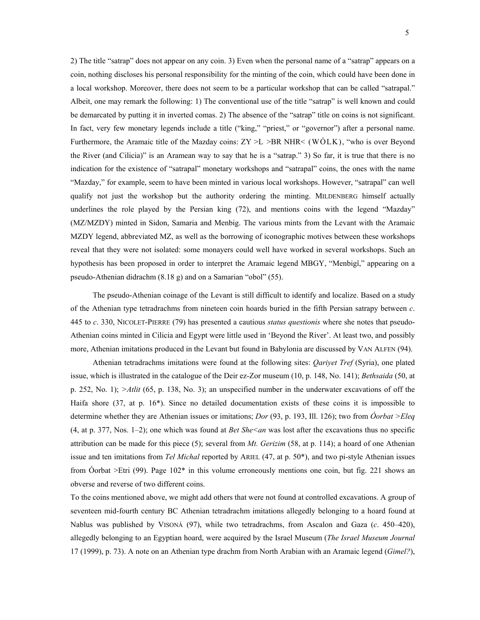2) The title "satrap" does not appear on any coin. 3) Even when the personal name of a "satrap" appears on a coin, nothing discloses his personal responsibility for the minting of the coin, which could have been done in a local workshop. Moreover, there does not seem to be a particular workshop that can be called "satrapal." Albeit, one may remark the following: 1) The conventional use of the title "satrap" is well known and could be demarcated by putting it in inverted comas. 2) The absence of the "satrap" title on coins is not significant. In fact, very few monetary legends include a title ("king," "priest," or "governor") after a personal name. Furthermore, the Aramaic title of the Mazday coins:  $ZY \geq L \geq BR$  NHR< (WÓLK), "who is over Beyond the River (and Cilicia)" is an Aramean way to say that he is a "satrap." 3) So far, it is true that there is no indication for the existence of "satrapal" monetary workshops and "satrapal" coins, the ones with the name "Mazday," for example, seem to have been minted in various local workshops. However, "satrapal" can well qualify not just the workshop but the authority ordering the minting. MILDENBERG himself actually underlines the role played by the Persian king (72), and mentions coins with the legend "Mazday" (MZ/MZDY) minted in Sidon, Samaria and Menbig. The various mints from the Levant with the Aramaic MZDY legend, abbreviated MZ, as well as the borrowing of iconographic motives between these workshops reveal that they were not isolated: some monayers could well have worked in several workshops. Such an hypothesis has been proposed in order to interpret the Aramaic legend MBGY, "Menbigî," appearing on a pseudo-Athenian didrachm (8.18 g) and on a Samarian "obol" (55).

 The pseudo-Athenian coinage of the Levant is still difficult to identify and localize. Based on a study of the Athenian type tetradrachms from nineteen coin hoards buried in the fifth Persian satrapy between *c*. 445 to *c*. 330, NICOLET-PIERRE (79) has presented a cautious *status questionis* where she notes that pseudo-Athenian coins minted in Cilicia and Egypt were little used in 'Beyond the River'. At least two, and possibly more, Athenian imitations produced in the Levant but found in Babylonia are discussed by VAN ALFEN (94).

 Athenian tetradrachms imitations were found at the following sites: *Qariyet Tref* (Syria), one plated issue, which is illustrated in the catalogue of the Deir ez-Zor museum (10, p. 148, No. 141); *Bethsaida* (50, at p. 252, No. 1); *>Atlit* (65, p. 138, No. 3); an unspecified number in the underwater excavations of off the Haifa shore (37, at p. 16\*). Since no detailed documentation exists of these coins it is impossible to determine whether they are Athenian issues or imitations; *Dor* (93, p. 193, Ill. 126); two from *Óorbat >Eleq* (4, at p. 377, Nos. 1–2); one which was found at *Bet She<an* was lost after the excavations thus no specific attribution can be made for this piece (5); several from *Mt. Gerizim* (58, at p. 114); a hoard of one Athenian issue and ten imitations from *Tel Michal* reported by ARIEL (47, at p. 50\*), and two pi-style Athenian issues from Óorbat >Etri (99). Page 102\* in this volume erroneously mentions one coin, but fig. 221 shows an obverse and reverse of two different coins.

To the coins mentioned above, we might add others that were not found at controlled excavations. A group of seventeen mid-fourth century BC Athenian tetradrachm imitations allegedly belonging to a hoard found at Nablus was published by VISONÀ (97), while two tetradrachms, from Ascalon and Gaza (*c*. 450–420), allegedly belonging to an Egyptian hoard, were acquired by the Israel Museum (*The Israel Museum Journal* 17 (1999), p. 73). A note on an Athenian type drachm from North Arabian with an Aramaic legend (*Gimel?*),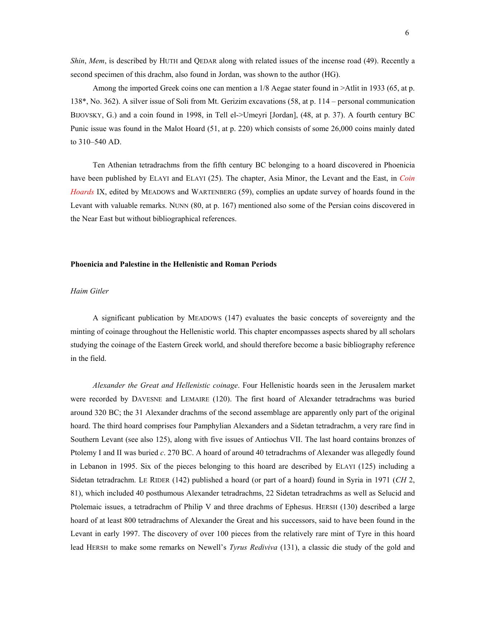*Shin*, *Mem*, is described by HUTH and QEDAR along with related issues of the incense road (49). Recently a second specimen of this drachm, also found in Jordan, was shown to the author (HG).

 Among the imported Greek coins one can mention a 1/8 Aegae stater found in >Atlit in 1933 (65, at p. 138\*, No. 362). A silver issue of Soli from Mt. Gerizim excavations (58, at p. 114 – personal communication BIJOVSKY, G.) and a coin found in 1998, in Tell el->Umeyri [Jordan], (48, at p. 37). A fourth century BC Punic issue was found in the Malot Hoard (51, at p. 220) which consists of some 26,000 coins mainly dated to 310–540 AD.

 Ten Athenian tetradrachms from the fifth century BC belonging to a hoard discovered in Phoenicia have been published by ELAYI and ELAYI (25). The chapter, Asia Minor, the Levant and the East, in *Coin Hoards* IX, edited by MEADOWS and WARTENBERG (59), complies an update survey of hoards found in the Levant with valuable remarks. NUNN (80, at p. 167) mentioned also some of the Persian coins discovered in the Near East but without bibliographical references.

#### **Phoenicia and Palestine in the Hellenistic and Roman Periods**

#### *Haim Gitler*

 A significant publication by MEADOWS (147) evaluates the basic concepts of sovereignty and the minting of coinage throughout the Hellenistic world. This chapter encompasses aspects shared by all scholars studying the coinage of the Eastern Greek world, and should therefore become a basic bibliography reference in the field.

 *Alexander the Great and Hellenistic coinage*. Four Hellenistic hoards seen in the Jerusalem market were recorded by DAVESNE and LEMAIRE (120). The first hoard of Alexander tetradrachms was buried around 320 BC; the 31 Alexander drachms of the second assemblage are apparently only part of the original hoard. The third hoard comprises four Pamphylian Alexanders and a Sidetan tetradrachm, a very rare find in Southern Levant (see also 125), along with five issues of Antiochus VII. The last hoard contains bronzes of Ptolemy I and II was buried *c*. 270 BC. A hoard of around 40 tetradrachms of Alexander was allegedly found in Lebanon in 1995. Six of the pieces belonging to this hoard are described by ELAYI (125) including a Sidetan tetradrachm. LE RIDER (142) published a hoard (or part of a hoard) found in Syria in 1971 (*CH* 2, 81), which included 40 posthumous Alexander tetradrachms, 22 Sidetan tetradrachms as well as Selucid and Ptolemaic issues, a tetradrachm of Philip V and three drachms of Ephesus. HERSH (130) described a large hoard of at least 800 tetradrachms of Alexander the Great and his successors, said to have been found in the Levant in early 1997. The discovery of over 100 pieces from the relatively rare mint of Tyre in this hoard lead HERSH to make some remarks on Newell's *Tyrus Rediviva* (131), a classic die study of the gold and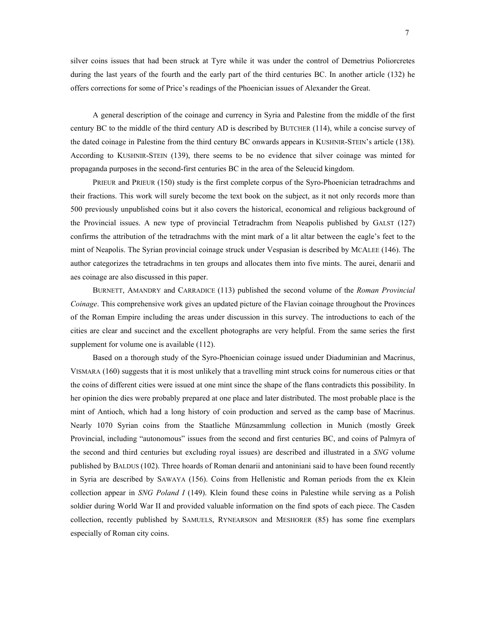silver coins issues that had been struck at Tyre while it was under the control of Demetrius Poliorcretes during the last years of the fourth and the early part of the third centuries BC. In another article (132) he offers corrections for some of Price's readings of the Phoenician issues of Alexander the Great.

 A general description of the coinage and currency in Syria and Palestine from the middle of the first century BC to the middle of the third century AD is described by BUTCHER (114), while a concise survey of the dated coinage in Palestine from the third century BC onwards appears in KUSHNIR-STEIN's article (138). According to KUSHNIR-STEIN (139), there seems to be no evidence that silver coinage was minted for propaganda purposes in the second-first centuries BC in the area of the Seleucid kingdom.

 PRIEUR and PRIEUR (150) study is the first complete corpus of the Syro-Phoenician tetradrachms and their fractions. This work will surely become the text book on the subject, as it not only records more than 500 previously unpublished coins but it also covers the historical, economical and religious background of the Provincial issues. A new type of provincial Tetradrachm from Neapolis published by GALST (127) confirms the attribution of the tetradrachms with the mint mark of a lit altar between the eagle's feet to the mint of Neapolis. The Syrian provincial coinage struck under Vespasian is described by MCALEE (146). The author categorizes the tetradrachms in ten groups and allocates them into five mints. The aurei, denarii and aes coinage are also discussed in this paper.

 BURNETT, AMANDRY and CARRADICE (113) published the second volume of the *Roman Provincial Coinage*. This comprehensive work gives an updated picture of the Flavian coinage throughout the Provinces of the Roman Empire including the areas under discussion in this survey. The introductions to each of the cities are clear and succinct and the excellent photographs are very helpful. From the same series the first supplement for volume one is available  $(112)$ .

 Based on a thorough study of the Syro-Phoenician coinage issued under Diaduminian and Macrinus, VISMARA (160) suggests that it is most unlikely that a travelling mint struck coins for numerous cities or that the coins of different cities were issued at one mint since the shape of the flans contradicts this possibility. In her opinion the dies were probably prepared at one place and later distributed. The most probable place is the mint of Antioch, which had a long history of coin production and served as the camp base of Macrinus. Nearly 1070 Syrian coins from the Staatliche Münzsammlung collection in Munich (mostly Greek Provincial, including "autonomous" issues from the second and first centuries BC, and coins of Palmyra of the second and third centuries but excluding royal issues) are described and illustrated in a *SNG* volume published by BALDUS (102). Three hoards of Roman denarii and antoniniani said to have been found recently in Syria are described by SAWAYA (156). Coins from Hellenistic and Roman periods from the ex Klein collection appear in *SNG Poland I* (149). Klein found these coins in Palestine while serving as a Polish soldier during World War II and provided valuable information on the find spots of each piece. The Casden collection, recently published by SAMUELS, RYNEARSON and MESHORER (85) has some fine exemplars especially of Roman city coins.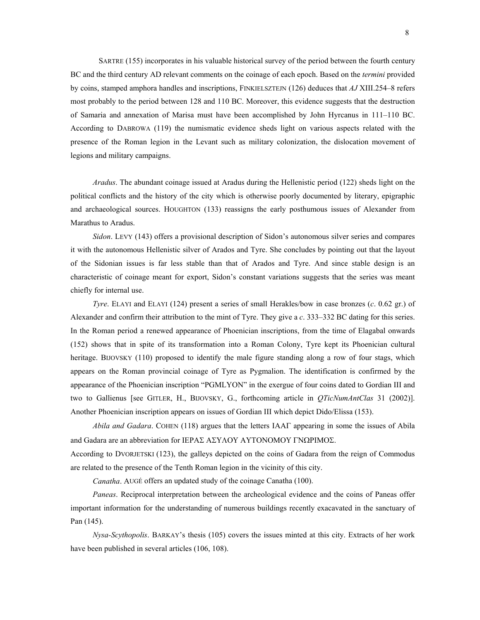SARTRE (155) incorporates in his valuable historical survey of the period between the fourth century BC and the third century AD relevant comments on the coinage of each epoch. Based on the *termini* provided by coins, stamped amphora handles and inscriptions, FINKIELSZTEJN (126) deduces that *AJ* XIII.254–8 refers most probably to the period between 128 and 110 BC. Moreover, this evidence suggests that the destruction of Samaria and annexation of Marisa must have been accomplished by John Hyrcanus in 111–110 BC. According to DABROWA (119) the numismatic evidence sheds light on various aspects related with the presence of the Roman legion in the Levant such as military colonization, the dislocation movement of legions and military campaigns.

 *Aradus*. The abundant coinage issued at Aradus during the Hellenistic period (122) sheds light on the political conflicts and the history of the city which is otherwise poorly documented by literary, epigraphic and archaeological sources. HOUGHTON (133) reassigns the early posthumous issues of Alexander from Marathus to Aradus.

 *Sidon*. LEVY (143) offers a provisional description of Sidon's autonomous silver series and compares it with the autonomous Hellenistic silver of Arados and Tyre. She concludes by pointing out that the layout of the Sidonian issues is far less stable than that of Arados and Tyre. And since stable design is an characteristic of coinage meant for export, Sidon's constant variations suggests that the series was meant chiefly for internal use.

 *Tyre*. ELAYI and ELAYI (124) present a series of small Herakles/bow in case bronzes (*c*. 0.62 gr.) of Alexander and confirm their attribution to the mint of Tyre. They give a *c*. 333–332 BC dating for this series. In the Roman period a renewed appearance of Phoenician inscriptions, from the time of Elagabal onwards (152) shows that in spite of its transformation into a Roman Colony, Tyre kept its Phoenician cultural heritage. BIJOVSKY (110) proposed to identify the male figure standing along a row of four stags, which appears on the Roman provincial coinage of Tyre as Pygmalion. The identification is confirmed by the appearance of the Phoenician inscription "PGMLYON" in the exergue of four coins dated to Gordian III and two to Gallienus [see GITLER, H., BIJOVSKY, G., forthcoming article in *QTicNumAntClas* 31 (2002)]. Another Phoenician inscription appears on issues of Gordian III which depict Dido/Elissa (153).

 *Abila and Gadara*. COHEN (118) argues that the letters ΙΑΑΓ appearing in some the issues of Abila and Gadara are an abbreviation for ΙΕΡΑΣ ΑΣΥΛΟΥ ΑΥΤΟΝΟΜΟΥ ΓΝΩΡΙΜΟΣ.

According to DVORJETSKI (123), the galleys depicted on the coins of Gadara from the reign of Commodus are related to the presence of the Tenth Roman legion in the vicinity of this city.

 *Canatha*. AUGÉ offers an updated study of the coinage Canatha (100).

 *Paneas*. Reciprocal interpretation between the archeological evidence and the coins of Paneas offer important information for the understanding of numerous buildings recently exacavated in the sanctuary of Pan (145).

 *Nysa-Scythopolis*. BARKAY's thesis (105) covers the issues minted at this city. Extracts of her work have been published in several articles (106, 108).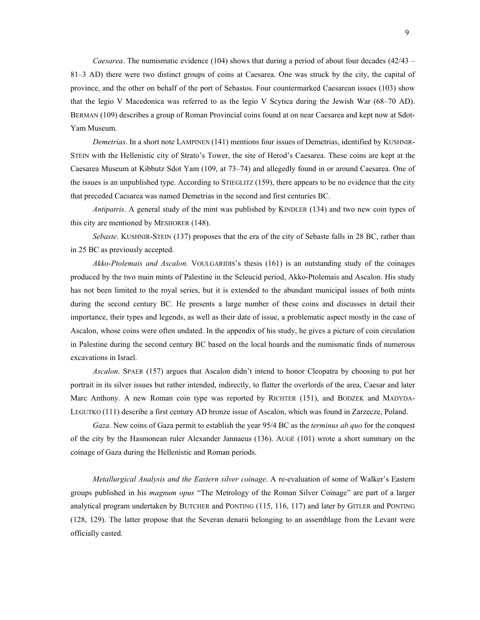*Caesarea*. The numismatic evidence (104) shows that during a period of about four decades (42/43 – 81–3 AD) there were two distinct groups of coins at Caesarea. One was struck by the city, the capital of province, and the other on behalf of the port of Sebastos. Four countermarked Caesarean issues (103) show that the legio V Macedonica was referred to as the legio V Scytica during the Jewish War (68–70 AD). BERMAN (109) describes a group of Roman Provincial coins found at on near Caesarea and kept now at Sdot-Yam Museum.

 *Demetrias*. In a short note LAMPINEN (141) mentions four issues of Demetrias, identified by KUSHNIR-STEIN with the Hellenistic city of Strato's Tower, the site of Herod's Caesarea. These coins are kept at the Caesarea Museum at Kibbutz Sdot Yam (109, at 73–74) and allegedly found in or around Caesarea. One of the issues is an unpublished type. According to STIEGLITZ (159), there appears to be no evidence that the city that preceded Caesarea was named Demetrias in the second and first centuries BC.

 *Antipatris*. A general study of the mint was published by KINDLER (134) and two new coin types of this city are mentioned by MESHORER (148).

 *Sebaste*. KUSHNIR-STEIN (137) proposes that the era of the city of Sebaste falls in 28 BC, rather than in 25 BC as previously accepted.

 *Akko-Ptolemais and Ascalon*. VOULGARIDIS's thesis (161) is an outstanding study of the coinages produced by the two main mints of Palestine in the Seleucid period, Akko-Ptolemais and Ascalon. His study has not been limited to the royal series, but it is extended to the abundant municipal issues of both mints during the second century BC. He presents a large number of these coins and discusses in detail their importance, their types and legends, as well as their date of issue, a problematic aspect mostly in the case of Ascalon, whose coins were often undated. In the appendix of his study, he gives a picture of coin circulation in Palestine during the second century BC based on the local hoards and the numismatic finds of numerous excavations in Israel.

*Ascalon*. SPAER (157) argues that Ascalon didn't intend to honor Cleopatra by choosing to put her portrait in its silver issues but rather intended, indirectly, to flatter the overlords of the area, Caesar and later Marc Anthony. A new Roman coin type was reported by RICHTER (151), and BODZEK and MADYDA-LEGUTKO (111) describe a first century AD bronze issue of Ascalon, which was found in Zarzecze, Poland.

 *Gaza*. New coins of Gaza permit to establish the year 95/4 BC as the *terminus ab quo* for the conquest of the city by the Hasmonean ruler Alexander Jannaeus (136). AUGÉ (101) wrote a short summary on the coinage of Gaza during the Hellenistic and Roman periods.

 *Metallurgical Analysis and the Eastern silver coinage*. A re-evaluation of some of Walker's Eastern groups published in his *magnum opus* "The Metrology of the Roman Silver Coinage" are part of a larger analytical program undertaken by BUTCHER and PONTING (115, 116, 117) and later by GITLER and PONTING (128, 129). The latter propose that the Severan denarii belonging to an assemblage from the Levant were officially casted.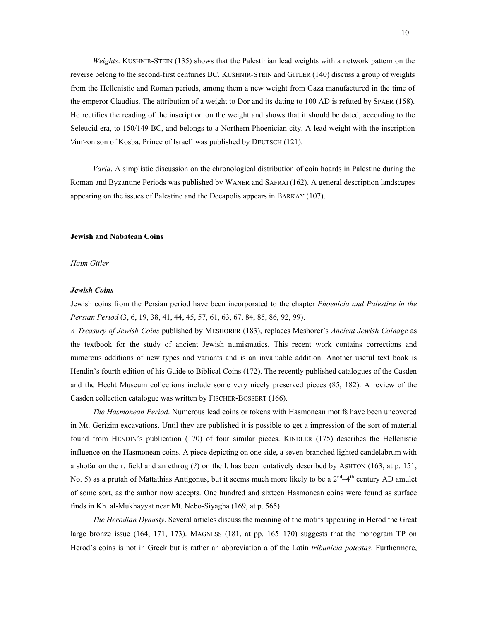*Weights*. KUSHNIR-STEIN (135) shows that the Palestinian lead weights with a network pattern on the reverse belong to the second-first centuries BC. KUSHNIR-STEIN and GITLER (140) discuss a group of weights from the Hellenistic and Roman periods, among them a new weight from Gaza manufactured in the time of the emperor Claudius. The attribution of a weight to Dor and its dating to 100 AD is refuted by SPAER (158). He rectifies the reading of the inscription on the weight and shows that it should be dated, according to the Seleucid era, to 150/149 BC, and belongs to a Northern Phoenician city. A lead weight with the inscription '⁄im>on son of Kosba, Prince of Israel' was published by DEUTSCH (121).

*Varia*. A simplistic discussion on the chronological distribution of coin hoards in Palestine during the Roman and Byzantine Periods was published by WANER and SAFRAI (162). A general description landscapes appearing on the issues of Palestine and the Decapolis appears in BARKAY (107).

# **Jewish and Nabatean Coins**

#### *Haim Gitler*

#### *Jewish Coins*

Jewish coins from the Persian period have been incorporated to the chapter *Phoenicia and Palestine in the Persian Period* (3, 6, 19, 38, 41, 44, 45, 57, 61, 63, 67, 84, 85, 86, 92, 99).

*A Treasury of Jewish Coins* published by MESHORER (183), replaces Meshorer's *Ancient Jewish Coinage* as the textbook for the study of ancient Jewish numismatics. This recent work contains corrections and numerous additions of new types and variants and is an invaluable addition. Another useful text book is Hendin's fourth edition of his Guide to Biblical Coins (172). The recently published catalogues of the Casden and the Hecht Museum collections include some very nicely preserved pieces (85, 182). A review of the Casden collection catalogue was written by FISCHER-BOSSERT (166).

 *The Hasmonean Period*. Numerous lead coins or tokens with Hasmonean motifs have been uncovered in Mt. Gerizim excavations. Until they are published it is possible to get a impression of the sort of material found from HENDIN's publication (170) of four similar pieces. KINDLER (175) describes the Hellenistic influence on the Hasmonean coins. A piece depicting on one side, a seven-branched lighted candelabrum with a shofar on the r. field and an ethrog (?) on the l. has been tentatively described by ASHTON (163, at p. 151, No. 5) as a prutah of Mattathias Antigonus, but it seems much more likely to be a  $2<sup>nd</sup>-4<sup>th</sup>$  century AD amulet of some sort, as the author now accepts. One hundred and sixteen Hasmonean coins were found as surface finds in Kh. al-Mukhayyat near Mt. Nebo-Siyagha (169, at p. 565).

 *The Herodian Dynasty*. Several articles discuss the meaning of the motifs appearing in Herod the Great large bronze issue (164, 171, 173). MAGNESS (181, at pp. 165–170) suggests that the monogram ΤΡ on Herod's coins is not in Greek but is rather an abbreviation a of the Latin *tribunicia potestas*. Furthermore,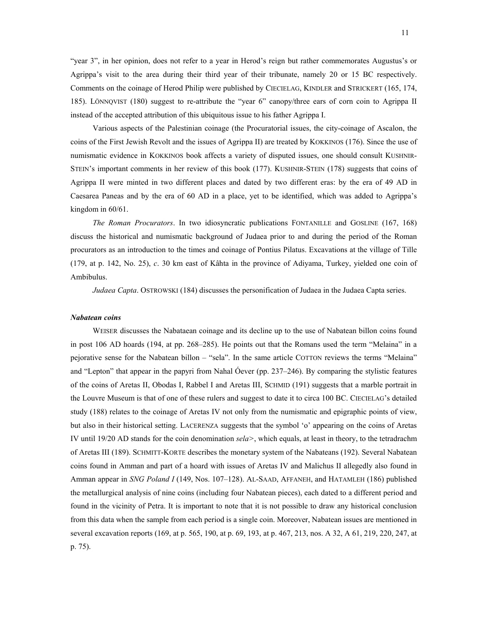"year 3", in her opinion, does not refer to a year in Herod's reign but rather commemorates Augustus's or Agrippa's visit to the area during their third year of their tribunate, namely 20 or 15 BC respectively. Comments on the coinage of Herod Philip were published by CIECIELAG, KINDLER and STRICKERT (165, 174, 185). LÖNNQVIST (180) suggest to re-attribute the "year 6" canopy/three ears of corn coin to Agrippa II instead of the accepted attribution of this ubiquitous issue to his father Agrippa I.

 Various aspects of the Palestinian coinage (the Procuratorial issues, the city-coinage of Ascalon, the coins of the First Jewish Revolt and the issues of Agrippa II) are treated by KOKKINOS (176). Since the use of numismatic evidence in KOKKINOS book affects a variety of disputed issues, one should consult KUSHNIR-STEIN's important comments in her review of this book (177). KUSHNIR-STEIN (178) suggests that coins of Agrippa II were minted in two different places and dated by two different eras: by the era of 49 AD in Caesarea Paneas and by the era of 60 AD in a place, yet to be identified, which was added to Agrippa's kingdom in 60/61.

 *The Roman Procurators*. In two idiosyncratic publications FONTANILLE and GOSLINE (167, 168) discuss the historical and numismatic background of Judaea prior to and during the period of the Roman procurators as an introduction to the times and coinage of Pontius Pilatus. Excavations at the village of Tille (179, at p. 142, No. 25), *c*. 30 km east of Kâhta in the province of Adiyama, Turkey, yielded one coin of Ambibulus.

*Judaea Capta*. OSTROWSKI (184) discusses the personification of Judaea in the Judaea Capta series.

#### *Nabatean coins*

 WEISER discusses the Nabataean coinage and its decline up to the use of Nabatean billon coins found in post 106 AD hoards (194, at pp. 268–285). He points out that the Romans used the term "Melaina" in a pejorative sense for the Nabatean billon – "sela". In the same article COTTON reviews the terms "Melaina" and "Lepton" that appear in the papyri from Nahal Óever (pp. 237–246). By comparing the stylistic features of the coins of Aretas II, Obodas I, Rabbel I and Aretas III, SCHMID (191) suggests that a marble portrait in the Louvre Museum is that of one of these rulers and suggest to date it to circa 100 BC. CIECIELAG's detailed study (188) relates to the coinage of Aretas IV not only from the numismatic and epigraphic points of view, but also in their historical setting. LACERENZA suggests that the symbol 'o' appearing on the coins of Aretas IV until 19/20 AD stands for the coin denomination *sela>*, which equals, at least in theory, to the tetradrachm of Aretas III (189). SCHMITT-KORTE describes the monetary system of the Nabateans (192). Several Nabatean coins found in Amman and part of a hoard with issues of Aretas IV and Malichus II allegedly also found in Amman appear in *SNG Poland I* (149, Nos. 107–128). AL-SAAD, AFFANEH, and HATAMLEH (186) published the metallurgical analysis of nine coins (including four Nabatean pieces), each dated to a different period and found in the vicinity of Petra. It is important to note that it is not possible to draw any historical conclusion from this data when the sample from each period is a single coin. Moreover, Nabatean issues are mentioned in several excavation reports (169, at p. 565, 190, at p. 69, 193, at p. 467, 213, nos. A 32, A 61, 219, 220, 247, at p. 75).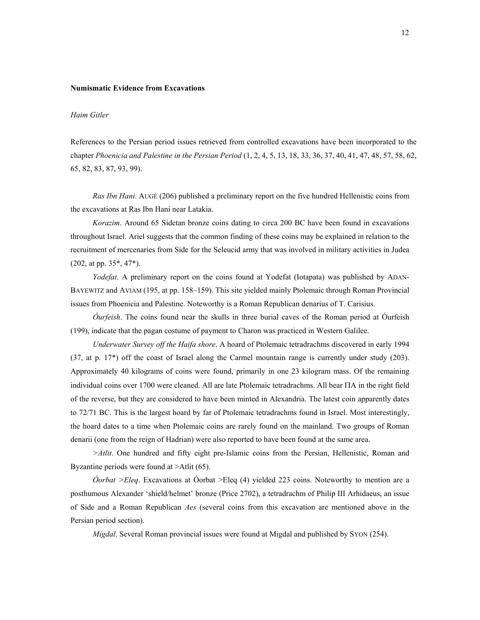#### **Numismatic Evidence from Excavations**

#### *Haim Gitler*

References to the Persian period issues retrieved from controlled excavations have been incorporated to the chapter *Phoenicia and Palestine in the Persian Period* (1, 2, 4, 5, 13, 18, 33, 36, 37, 40, 41, 47, 48, 57, 58, 62, 65, 82, 83, 87, 93, 99).

 *Ras Ibn Hani*. AUGÉ (206) published a preliminary report on the five hundred Hellenistic coins from the excavations at Ras Ibn Hani near Latakia.

*Korazim*. Around 65 Sidetan bronze coins dating to circa 200 BC have been found in excavations throughout Israel. Ariel suggests that the common finding of these coins may be explained in relation to the recruitment of mercenaries from Side for the Seleucid army that was involved in military activities in Judea (202, at pp. 35\*, 47\*).

 *Yodefat*. A preliminary report on the coins found at Yodefat (Iotapata) was published by ADAN-BAYEWITZ and AVIAM (195, at pp. 158–159). This site yielded mainly Ptolemaic through Roman Provincial issues from Phoenicia and Palestine. Noteworthy is a Roman Republican denarius of T. Carisius.

*Óurfeish*. The coins found near the skulls in three burial caves of the Roman period at Óurfeish (199), indicate that the pagan costume of payment to Charon was practiced in Western Galilee.

*Underwater Survey off the Haifa shore*. A hoard of Ptolemaic tetradrachms discovered in early 1994 (37, at p. 17\*) off the coast of Israel along the Carmel mountain range is currently under study (203). Approximately 40 kilograms of coins were found, primarily in one 23 kilogram mass. Of the remaining individual coins over 1700 were cleaned. All are late Ptolemaic tetradrachms. All bear ΠΑ in the right field of the reverse, but they are considered to have been minted in Alexandria. The latest coin apparently dates to 72/71 BC. This is the largest hoard by far of Ptolemaic tetradrachms found in Israel. Most interestingly, the hoard dates to a time when Ptolemaic coins are rarely found on the mainland. Two groups of Roman denarii (one from the reign of Hadrian) were also reported to have been found at the same area.

*>Atlit*. One hundred and fifty eight pre-Islamic coins from the Persian, Hellenistic, Roman and Byzantine periods were found at >Atlit (65).

*Óorbat >Eleq*. Excavations at Óorbat >Eleq (4) yielded 223 coins. Noteworthy to mention are a posthumous Alexander 'shield/helmet' bronze (Price 2702), a tetradrachm of Philip III Arhidaeus, an issue of Side and a Roman Republican *Aes* (several coins from this excavation are mentioned above in the Persian period section).

 *Migdal*. Several Roman provincial issues were found at Migdal and published by SYON (254).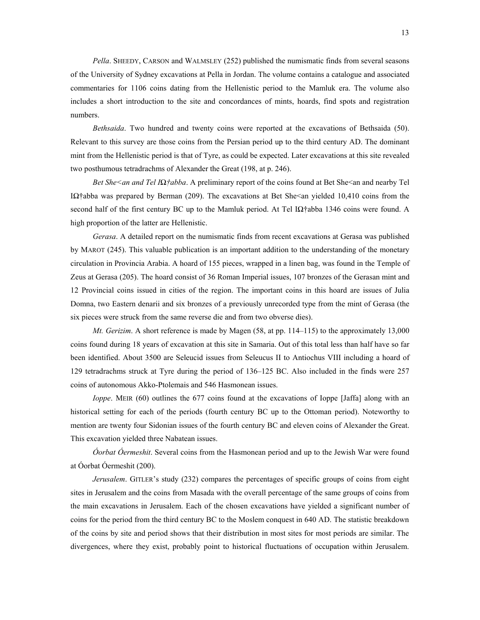*Pella*. SHEEDY, CARSON and WALMSLEY (252) published the numismatic finds from several seasons of the University of Sydney excavations at Pella in Jordan. The volume contains a catalogue and associated commentaries for 1106 coins dating from the Hellenistic period to the Mamluk era. The volume also includes a short introduction to the site and concordances of mints, hoards, find spots and registration numbers.

 *Bethsaida*. Two hundred and twenty coins were reported at the excavations of Bethsaida (50). Relevant to this survey are those coins from the Persian period up to the third century AD. The dominant mint from the Hellenistic period is that of Tyre, as could be expected. Later excavations at this site revealed two posthumous tetradrachms of Alexander the Great (198, at p. 246).

*Bet She<an and Tel IΩ†abba*. A preliminary report of the coins found at Bet She<an and nearby Tel Iنabba was prepared by Berman (209). The excavations at Bet She<an yielded 10,410 coins from the second half of the first century BC up to the Mamluk period. At Tel I $\Omega$ †abba 1346 coins were found. A high proportion of the latter are Hellenistic.

 *Gerasa*. A detailed report on the numismatic finds from recent excavations at Gerasa was published by MAROT (245). This valuable publication is an important addition to the understanding of the monetary circulation in Provincia Arabia. A hoard of 155 pieces, wrapped in a linen bag, was found in the Temple of Zeus at Gerasa (205). The hoard consist of 36 Roman Imperial issues, 107 bronzes of the Gerasan mint and 12 Provincial coins issued in cities of the region. The important coins in this hoard are issues of Julia Domna, two Eastern denarii and six bronzes of a previously unrecorded type from the mint of Gerasa (the six pieces were struck from the same reverse die and from two obverse dies).

*Mt. Gerizim.* A short reference is made by Magen (58, at pp. 114–115) to the approximately 13,000 coins found during 18 years of excavation at this site in Samaria. Out of this total less than half have so far been identified. About 3500 are Seleucid issues from Seleucus II to Antiochus VIII including a hoard of 129 tetradrachms struck at Tyre during the period of 136–125 BC. Also included in the finds were 257 coins of autonomous Akko-Ptolemais and 546 Hasmonean issues.

*Ioppe*. MEIR (60) outlines the 677 coins found at the excavations of Ioppe [Jaffa] along with an historical setting for each of the periods (fourth century BC up to the Ottoman period). Noteworthy to mention are twenty four Sidonian issues of the fourth century BC and eleven coins of Alexander the Great. This excavation yielded three Nabatean issues.

*Óorbat Óermeshit*. Several coins from the Hasmonean period and up to the Jewish War were found at Óorbat Óermeshit (200).

*Jerusalem*. GITLER's study (232) compares the percentages of specific groups of coins from eight sites in Jerusalem and the coins from Masada with the overall percentage of the same groups of coins from the main excavations in Jerusalem. Each of the chosen excavations have yielded a significant number of coins for the period from the third century BC to the Moslem conquest in 640 AD. The statistic breakdown of the coins by site and period shows that their distribution in most sites for most periods are similar. The divergences, where they exist, probably point to historical fluctuations of occupation within Jerusalem.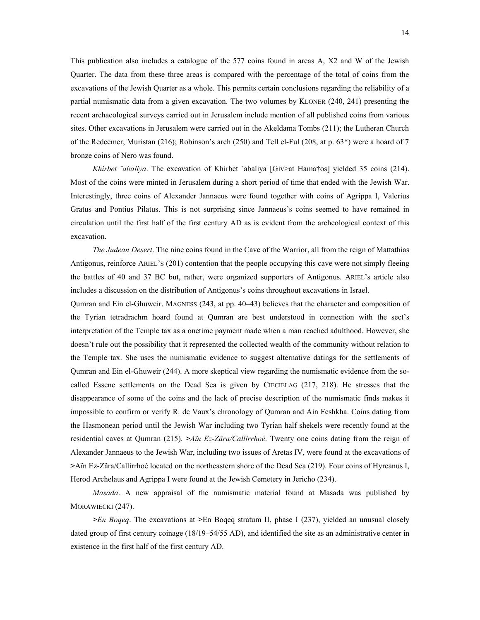This publication also includes a catalogue of the 577 coins found in areas A, X2 and W of the Jewish Quarter. The data from these three areas is compared with the percentage of the total of coins from the excavations of the Jewish Quarter as a whole. This permits certain conclusions regarding the reliability of a partial numismatic data from a given excavation. The two volumes by KLONER (240, 241) presenting the recent archaeological surveys carried out in Jerusalem include mention of all published coins from various sites. Other excavations in Jerusalem were carried out in the Akeldama Tombs (211); the Lutheran Church of the Redeemer, Muristan (216); Robinson's arch (250) and Tell el-Ful (208, at p. 63\*) were a hoard of 7 bronze coins of Nero was found.

*Khirbet ˇabaliya*. The excavation of Khirbet ˇabaliya [Giv>at Hama†os] yielded 35 coins (214). Most of the coins were minted in Jerusalem during a short period of time that ended with the Jewish War. Interestingly, three coins of Alexander Jannaeus were found together with coins of Agrippa I, Valerius Gratus and Pontius Pilatus. This is not surprising since Jannaeus's coins seemed to have remained in circulation until the first half of the first century AD as is evident from the archeological context of this excavation.

*The Judean Desert*. The nine coins found in the Cave of the Warrior, all from the reign of Mattathias Antigonus, reinforce ARIEL'S (201) contention that the people occupying this cave were not simply fleeing the battles of 40 and 37 BC but, rather, were organized supporters of Antigonus. ARIEL's article also includes a discussion on the distribution of Antigonus's coins throughout excavations in Israel.

Qumran and Ein el-Ghuweir. MAGNESS (243, at pp. 40–43) believes that the character and composition of the Tyrian tetradrachm hoard found at Qumran are best understood in connection with the sect's interpretation of the Temple tax as a onetime payment made when a man reached adulthood. However, she doesn't rule out the possibility that it represented the collected wealth of the community without relation to the Temple tax. She uses the numismatic evidence to suggest alternative datings for the settlements of Qumran and Ein el-Ghuweir (244). A more skeptical view regarding the numismatic evidence from the socalled Essene settlements on the Dead Sea is given by CIECIELAG (217, 218). He stresses that the disappearance of some of the coins and the lack of precise description of the numismatic finds makes it impossible to confirm or verify R. de Vaux's chronology of Qumran and Ain Feshkha. Coins dating from the Hasmonean period until the Jewish War including two Tyrian half shekels were recently found at the residential caves at Qumran (215). *>Aïn Ez-Zâra/Callirrhoé*. Twenty one coins dating from the reign of Alexander Jannaeus to the Jewish War, including two issues of Aretas IV, were found at the excavations of **>**Aïn Ez-Zâra/Callirrhoé located on the northeastern shore of the Dead Sea (219). Four coins of Hyrcanus I, Herod Archelaus and Agrippa I were found at the Jewish Cemetery in Jericho (234).

*Masada*. A new appraisal of the numismatic material found at Masada was published by MORAWIECKI (247).

*>En Boqeq*. The excavations at **>**En Boqeq stratum II, phase I (237), yielded an unusual closely dated group of first century coinage (18/19–54/55 AD), and identified the site as an administrative center in existence in the first half of the first century AD.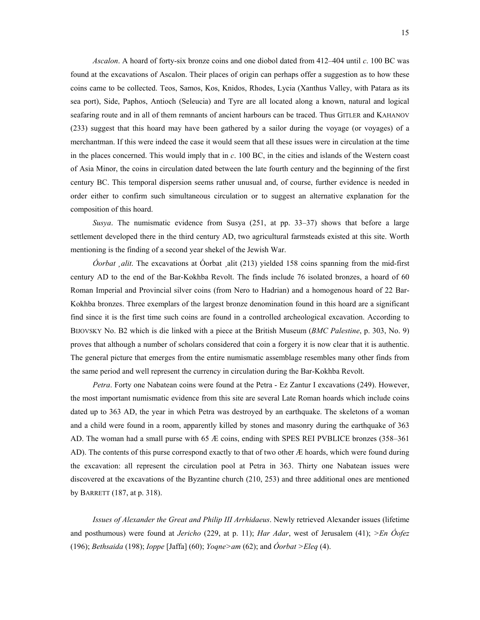*Ascalon*. A hoard of forty-six bronze coins and one diobol dated from 412–404 until *c*. 100 BC was found at the excavations of Ascalon. Their places of origin can perhaps offer a suggestion as to how these coins came to be collected. Teos, Samos, Kos, Knidos, Rhodes, Lycia (Xanthus Valley, with Patara as its sea port), Side, Paphos, Antioch (Seleucia) and Tyre are all located along a known, natural and logical seafaring route and in all of them remnants of ancient harbours can be traced. Thus GITLER and KAHANOV (233) suggest that this hoard may have been gathered by a sailor during the voyage (or voyages) of a merchantman. If this were indeed the case it would seem that all these issues were in circulation at the time in the places concerned. This would imply that in *c*. 100 BC, in the cities and islands of the Western coast of Asia Minor, the coins in circulation dated between the late fourth century and the beginning of the first century BC. This temporal dispersion seems rather unusual and, of course, further evidence is needed in order either to confirm such simultaneous circulation or to suggest an alternative explanation for the composition of this hoard.

 *Susya*. The numismatic evidence from Susya (251, at pp. 33–37) shows that before a large settlement developed there in the third century AD, two agricultural farmsteads existed at this site. Worth mentioning is the finding of a second year shekel of the Jewish War.

*Óorbat <sub>d</sub>uit*. The excavations at Óorbat alit (213) yielded 158 coins spanning from the mid-first century AD to the end of the Bar-Kokhba Revolt. The finds include 76 isolated bronzes, a hoard of 60 Roman Imperial and Provincial silver coins (from Nero to Hadrian) and a homogenous hoard of 22 Bar-Kokhba bronzes. Three exemplars of the largest bronze denomination found in this hoard are a significant find since it is the first time such coins are found in a controlled archeological excavation. According to BIJOVSKY No. B2 which is die linked with a piece at the British Museum (*BMC Palestine*, p. 303, No. 9) proves that although a number of scholars considered that coin a forgery it is now clear that it is authentic. The general picture that emerges from the entire numismatic assemblage resembles many other finds from the same period and well represent the currency in circulation during the Bar-Kokhba Revolt.

*Petra*. Forty one Nabatean coins were found at the Petra - Ez Zantur I excavations (249). However, the most important numismatic evidence from this site are several Late Roman hoards which include coins dated up to 363 AD, the year in which Petra was destroyed by an earthquake. The skeletons of a woman and a child were found in a room, apparently killed by stones and masonry during the earthquake of 363 AD. The woman had a small purse with 65 Æ coins, ending with SPES REI PVBLICE bronzes (358–361 AD). The contents of this purse correspond exactly to that of two other Æ hoards, which were found during the excavation: all represent the circulation pool at Petra in 363. Thirty one Nabatean issues were discovered at the excavations of the Byzantine church (210, 253) and three additional ones are mentioned by BARRETT (187, at p. 318).

 *Issues of Alexander the Great and Philip III Arrhidaeus*. Newly retrieved Alexander issues (lifetime and posthumous) were found at *Jericho* (229, at p. 11); *Har Adar*, west of Jerusalem (41); *>En Óofez* (196); *Bethsaida* (198); *Ioppe* [Jaffa] (60); *Yoqne>am* (62); and *Óorbat >Eleq* (4).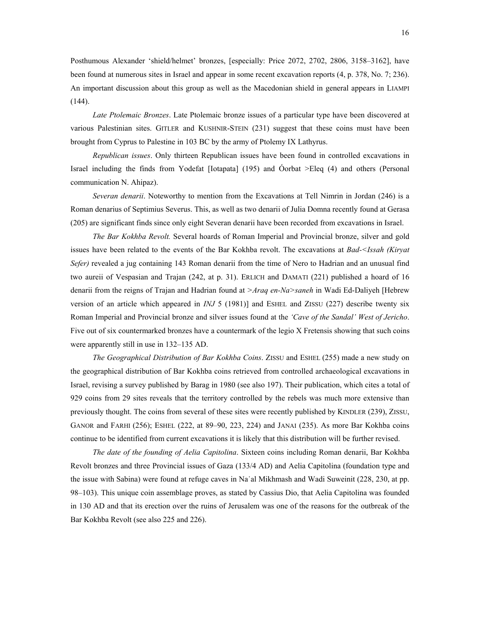Posthumous Alexander 'shield/helmet' bronzes, [especially: Price 2072, 2702, 2806, 3158–3162], have been found at numerous sites in Israel and appear in some recent excavation reports (4, p. 378, No. 7; 236). An important discussion about this group as well as the Macedonian shield in general appears in LIAMPI  $(144)$ .

 *Late Ptolemaic Bronzes*. Late Ptolemaic bronze issues of a particular type have been discovered at various Palestinian sites. GITLER and KUSHNIR-STEIN (231) suggest that these coins must have been brought from Cyprus to Palestine in 103 BC by the army of Ptolemy IX Lathyrus.

 *Republican issues*. Only thirteen Republican issues have been found in controlled excavations in Israel including the finds from Yodefat [Iotapata] (195) and Óorbat >Eleq (4) and others (Personal communication N. Ahipaz).

 *Severan denarii*. Noteworthy to mention from the Excavations at Tell Nimrin in Jordan (246) is a Roman denarius of Septimius Severus. This, as well as two denarii of Julia Domna recently found at Gerasa (205) are significant finds since only eight Severan denarii have been recorded from excavations in Israel.

*The Bar Kokhba Revolt.* Several hoards of Roman Imperial and Provincial bronze, silver and gold issues have been related to the events of the Bar Kokhba revolt. The excavations at *Bad-<Issah (Kiryat Sefer)* revealed a jug containing 143 Roman denarii from the time of Nero to Hadrian and an unusual find two aureii of Vespasian and Trajan (242, at p. 31). ERLICH and DAMATI (221) published a hoard of 16 denarii from the reigns of Trajan and Hadrian found at *>Araq en-Na>saneh* in Wadi Ed-Daliyeh [Hebrew version of an article which appeared in *INJ* 5 (1981)] and ESHEL and ZISSU (227) describe twenty six Roman Imperial and Provincial bronze and silver issues found at the *'Cave of the Sandal' West of Jericho*. Five out of six countermarked bronzes have a countermark of the legio X Fretensis showing that such coins were apparently still in use in 132–135 AD.

 *The Geographical Distribution of Bar Kokhba Coins*. ZISSU and ESHEL (255) made a new study on the geographical distribution of Bar Kokhba coins retrieved from controlled archaeological excavations in Israel, revising a survey published by Barag in 1980 (see also 197). Their publication, which cites a total of 929 coins from 29 sites reveals that the territory controlled by the rebels was much more extensive than previously thought. The coins from several of these sites were recently published by KINDLER (239), ZISSU, GANOR and FARHI (256); ESHEL (222, at 89–90, 223, 224) and JANAI (235). As more Bar Kokhba coins continue to be identified from current excavations it is likely that this distribution will be further revised.

 *The date of the founding of Aelia Capitolina*. Sixteen coins including Roman denarii, Bar Kokhba Revolt bronzes and three Provincial issues of Gaza (133/4 AD) and Aelia Capitolina (foundation type and the issue with Sabina) were found at refuge caves in Na˙al Mikhmash and Wadi Suweinit (228, 230, at pp. 98–103). This unique coin assemblage proves, as stated by Cassius Dio, that Aelia Capitolina was founded in 130 AD and that its erection over the ruins of Jerusalem was one of the reasons for the outbreak of the Bar Kokhba Revolt (see also 225 and 226).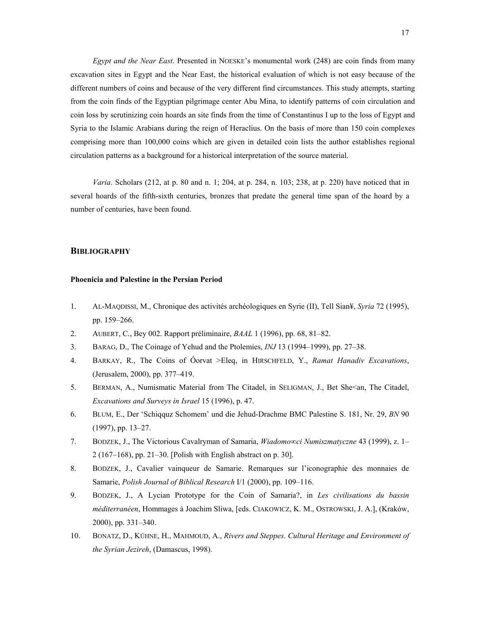*Egypt and the Near East*. Presented in NOESKE's monumental work (248) are coin finds from many excavation sites in Egypt and the Near East, the historical evaluation of which is not easy because of the different numbers of coins and because of the very different find circumstances. This study attempts, starting from the coin finds of the Egyptian pilgrimage center Abu Mina, to identify patterns of coin circulation and coin loss by scrutinizing coin hoards an site finds from the time of Constantinus I up to the loss of Egypt and Syria to the Islamic Arabians during the reign of Heraclius. On the basis of more than 150 coin complexes comprising more than 100,000 coins which are given in detailed coin lists the author establishes regional circulation patterns as a background for a historical interpretation of the source material.

*Varia*. Scholars (212, at p. 80 and n. 1; 204, at p. 284, n. 103; 238, at p. 220) have noticed that in several hoards of the fifth-sixth centuries, bronzes that predate the general time span of the hoard by a number of centuries, have been found.

# **BIBLIOGRAPHY**

# **Phoenicia and Palestine in the Persian Period**

- 1. AL-MAQDISSI, M., Chronique des activités archéologiques en Syrie (II), Tell Sian¥, *Syria* 72 (1995), pp. 159–266.
- 2. AUBERT, C., Bey 002. Rapport préliminaire, *BAAL* 1 (1996), pp. 68, 81–82.
- 3. BARAG, D., The Coinage of Yehud and the Ptolemies, *INJ* 13 (1994–1999), pp. 27–38.
- 4. BARKAY, R., The Coins of Óorvat >Eleq, in HIRSCHFELD, Y., *Ramat Hanadiv Excavations*, (Jerusalem, 2000), pp. 377–419.
- 5. BERMAN, A., Numismatic Material from The Citadel, in SELIGMAN, J., Bet She<an, The Citadel, *Excavations and Surveys in Israel* 15 (1996), p. 47.
- 6. BLUM, E., Der 'Schiqquz Schomem' und die Jehud-Drachme BMC Palestine S. 181, Nr. 29, *BN* 90 (1997), pp. 13–27.
- 7. BODZEK, J., The Victorious Cavalryman of Samaria, *Wiadomo∞ci Numiszmatyczne* 43 (1999), z. 1– 2 (167–168), pp. 21–30. [Polish with English abstract on p. 30].
- 8. BODZEK, J., Cavalier vainqueur de Samarie. Remarques sur l'iconographie des monnaies de Samarie, *Polish Journal of Biblical Research* I/1 (2000), pp. 109–116.
- 9. BODZEK, J., A Lycian Prototype for the Coin of Samaria?, in *Les civilisations du bassin méditerranéen*, Hommages à Joachim Sliwa, [eds. CIAKOWICZ, K. M., OSTROWSKI, J. A.], (Kraków, 2000), pp. 331–340.
- 10. BONATZ, D., KÜHNE, H., MAHMOUD, A., *Rivers and Steppes. Cultural Heritage and Environment of the Syrian Jezireh*, (Damascus, 1998).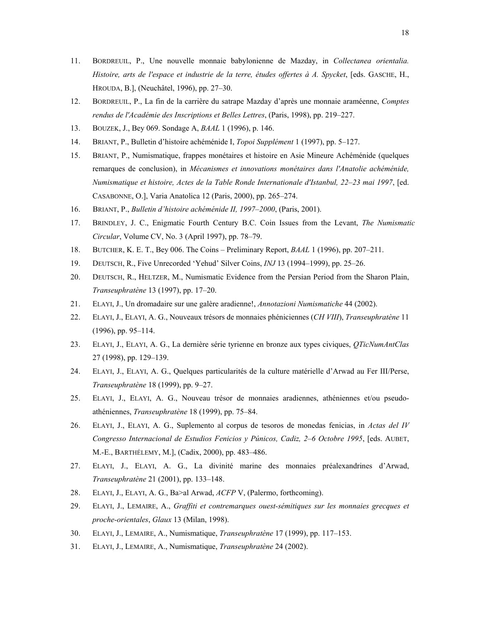- 11. BORDREUIL, P., Une nouvelle monnaie babylonienne de Mazday, in *Collectanea orientalia. Histoire, arts de l'espace et industrie de la terre, études offertes à A. Spycket*, [eds. GASCHE, H., HROUDA, B.], (Neuchâtel, 1996), pp. 27–30.
- 12. BORDREUIL, P., La fin de la carrière du satrape Mazday d'après une monnaie araméenne, *Comptes rendus de l'Académie des Inscriptions et Belles Lettres*, (Paris, 1998), pp. 219–227.
- 13. BOUZEK, J., Bey 069. Sondage A, *BAAL* 1 (1996), p. 146.
- 14. BRIANT, P., Bulletin d'histoire achéménide I, *Topoi Supplément* 1 (1997), pp. 5–127.
- 15. BRIANT, P., Numismatique, frappes monétaires et histoire en Asie Mineure Achéménide (quelques remarques de conclusion), in *Mécanismes et innovations monétaires dans l'Anatolie achéménide, Numismatique et histoire, Actes de la Table Ronde Internationale d'Istanbul, 22–23 mai 1997*, [ed. CASABONNE, O.], Varia Anatolica 12 (Paris, 2000), pp. 265–274.
- 16. BRIANT, P., *Bulletin d'histoire achéménide II, 1997–2000*, (Paris, 2001).
- 17. BRINDLEY, J. C., Enigmatic Fourth Century B.C. Coin Issues from the Levant, *The Numismatic Circular*, Volume CV, No. 3 (April 1997), pp. 78–79.
- 18. BUTCHER, K. E. T., Bey 006. The Coins Preliminary Report, *BAAL* 1 (1996), pp. 207–211.
- 19. DEUTSCH, R., Five Unrecorded 'Yehud' Silver Coins, *INJ* 13 (1994–1999), pp. 25–26.
- 20. DEUTSCH, R., HELTZER, M., Numismatic Evidence from the Persian Period from the Sharon Plain, *Transeuphratène* 13 (1997), pp. 17–20.
- 21. ELAYI, J., Un dromadaire sur une galère aradienne!, *Annotazioni Numismatiche* 44 (2002).
- 22. ELAYI, J., ELAYI, A. G., Nouveaux trésors de monnaies phéniciennes (*CH VIII*), *Transeuphratène* 11 (1996), pp. 95–114.
- 23. ELAYI, J., ELAYI, A. G., La dernière série tyrienne en bronze aux types civiques, *QTicNumAntClas*  27 (1998), pp. 129–139.
- 24. ELAYI, J., ELAYI, A. G., Quelques particularités de la culture matérielle d'Arwad au Fer III/Perse, *Transeuphratène* 18 (1999), pp. 9–27.
- 25. ELAYI, J., ELAYI, A. G., Nouveau trésor de monnaies aradiennes, athéniennes et/ou pseudoathéniennes, *Transeuphratène* 18 (1999), pp. 75–84.
- 26. ELAYI, J., ELAYI, A. G., Suplemento al corpus de tesoros de monedas fenicias, in *Actas del IV Congresso Internacional de Estudios Fenicios y Púnicos, Cadiz, 2–6 Octobre 1995*, [eds. AUBET, M.-E., BARTHÉLEMY, M.], (Cadix, 2000), pp. 483–486.
- 27. ELAYI, J., ELAYI, A. G., La divinité marine des monnaies préalexandrines d'Arwad, *Transeuphratène* 21 (2001), pp. 133–148.
- 28. ELAYI, J., ELAYI, A. G., Ba>al Arwad, *ACFP* V, (Palermo, forthcoming).
- 29. ELAYI, J., LEMAIRE, A., *Graffiti et contremarques ouest-sémitiques sur les monnaies grecques et proche-orientales*, *Glaux* 13 (Milan, 1998).
- 30. ELAYI, J., LEMAIRE, A., Numismatique, *Transeuphratène* 17 (1999), pp. 117–153.
- 31. ELAYI, J., LEMAIRE, A., Numismatique, *Transeuphratène* 24 (2002).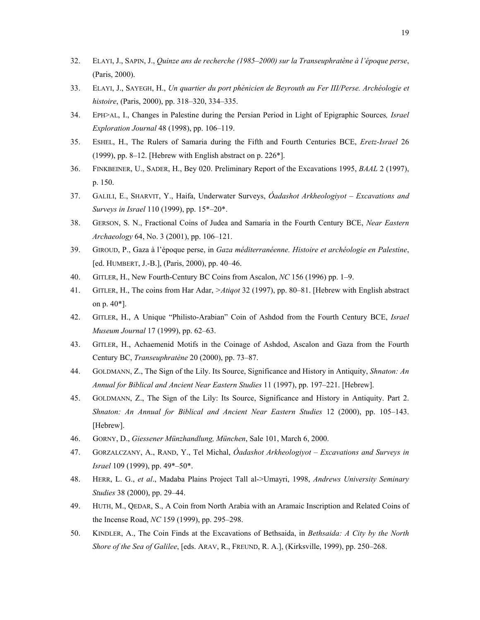- 32. ELAYI, J., SAPIN, J., *Quinze ans de recherche (1985–2000) sur la Transeuphratène à l'époque perse*, (Paris, 2000).
- 33. ELAYI, J., SAYEGH, H., *Un quartier du port phénicien de Beyrouth au Fer III/Perse. Archéologie et histoire*, (Paris, 2000), pp. 318–320, 334–335.
- 34. EPH>AL, I., Changes in Palestine during the Persian Period in Light of Epigraphic Sources*, Israel Exploration Journal* 48 (1998), pp. 106–119.
- 35. ESHEL, H., The Rulers of Samaria during the Fifth and Fourth Centuries BCE, *Eretz-Israel* 26 (1999), pp. 8–12. [Hebrew with English abstract on p. 226\*].
- 36. FINKBEINER, U., SADER, H., Bey 020. Preliminary Report of the Excavations 1995, *BAAL* 2 (1997), p. 150.
- 37. GALILI, E., SHARVIT, Y., Haifa, Underwater Surveys, *Óadashot Arkheologiyot Excavations and Surveys in Israel* 110 (1999), pp. 15\*–20\*.
- 38. GERSON, S. N., Fractional Coins of Judea and Samaria in the Fourth Century BCE, *Near Eastern Archaeology* 64, No. 3 (2001), pp. 106–121.
- 39. GIROUD, P., Gaza à l'époque perse, in *Gaza méditerranéenne. Histoire et archéologie en Palestine*, [ed. HUMBERT, J.-B.], (Paris, 2000), pp. 40–46.
- 40. GITLER, H., New Fourth-Century BC Coins from Ascalon, *NC* 156 (1996) pp. 1–9.
- 41. GITLER, H., The coins from Har Adar, *>Atiqot* 32 (1997), pp. 80–81. [Hebrew with English abstract on p. 40\*].
- 42. GITLER, H., A Unique "Philisto-Arabian" Coin of Ashdod from the Fourth Century BCE, *Israel Museum Journal* 17 (1999), pp. 62–63.
- 43. GITLER, H., Achaemenid Motifs in the Coinage of Ashdod, Ascalon and Gaza from the Fourth Century BC, *Transeuphratène* 20 (2000), pp. 73–87.
- 44. GOLDMANN, Z., The Sign of the Lily. Its Source, Significance and History in Antiquity, *Shnaton: An Annual for Biblical and Ancient Near Eastern Studies* 11 (1997), pp. 197–221. [Hebrew].
- 45. GOLDMANN, Z., The Sign of the Lily: Its Source, Significance and History in Antiquity. Part 2. *Shnaton: An Annual for Biblical and Ancient Near Eastern Studies* 12 (2000), pp. 105–143. [Hebrew].
- 46. GORNY, D., *Giessener Münzhandlung, München*, Sale 101, March 6, 2000.
- 47. GORZALCZANY, A., RAND, Y., Tel Michal, *Óadashot Arkheologiyot Excavations and Surveys in Israel* 109 (1999), pp. 49\*–50\*.
- 48. HERR, L. G., *et al*., Madaba Plains Project Tall al->Umayri, 1998, *Andrews University Seminary Studies* 38 (2000), pp. 29–44.
- 49. HUTH, M., QEDAR, S., A Coin from North Arabia with an Aramaic Inscription and Related Coins of the Incense Road, *NC* 159 (1999), pp. 295–298.
- 50. KINDLER, A., The Coin Finds at the Excavations of Bethsaida, in *Bethsaida: A City by the North Shore of the Sea of Galilee*, [eds. ARAV, R., FREUND, R. A.], (Kirksville, 1999), pp. 250–268.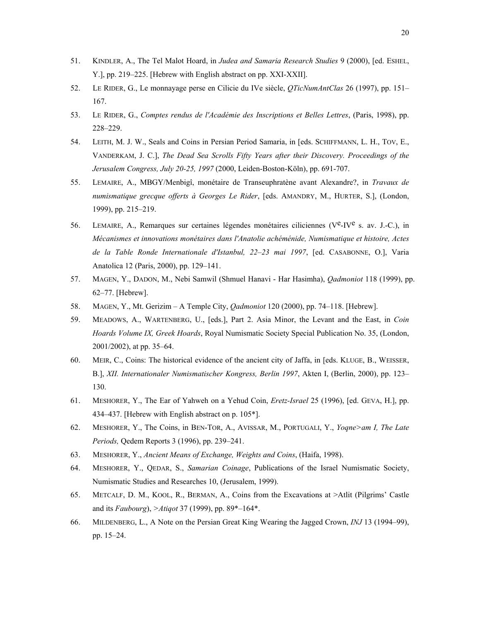- 51. KINDLER, A., The Tel Malot Hoard, in *Judea and Samaria Research Studies* 9 (2000), [ed. ESHEL, Y.], pp. 219–225. [Hebrew with English abstract on pp. XXI-XXII].
- 52. LE RIDER, G., Le monnayage perse en Cilicie du IVe siècle, *QTicNumAntClas* 26 (1997), pp. 151– 167.
- 53. LE RIDER, G., *Comptes rendus de l'Académie des Inscriptions et Belles Lettres*, (Paris, 1998), pp. 228–229.
- 54. LEITH, M. J. W., Seals and Coins in Persian Period Samaria, in [eds. SCHIFFMANN, L. H., TOV, E., VANDERKAM, J. C.], *The Dead Sea Scrolls Fifty Years after their Discovery. Proceedings of the Jerusalem Congress, July 20-25, 1997* (2000, Leiden-Boston-Köln), pp. 691-707.
- 55. LEMAIRE, A., MBGY/Menbigî, monétaire de Transeuphratène avant Alexandre?, in *Travaux de numismatique grecque offerts à Georges Le Rider*, [eds. AMANDRY, M., HURTER, S.], (London, 1999), pp. 215–219.
- 56. LEMAIRE, A., Remarques sur certaines légendes monétaires ciliciennes ( $V^e$ -IV $^e$  s. av. J.-C.), in *Mécanismes et innovations monétaires dans l'Anatolie achéménide, Numismatique et histoire, Actes de la Table Ronde Internationale d'Istanbul, 22–23 mai 1997*, [ed. CASABONNE, O.], Varia Anatolica 12 (Paris, 2000), pp. 129–141.
- 57. MAGEN, Y., DADON, M., Nebi Samwil (Shmuel Hanavi Har Hasimha), *Qadmoniot* 118 (1999), pp. 62–77. [Hebrew].
- 58. MAGEN, Y., Mt. Gerizim A Temple City, *Qadmoniot* 120 (2000), pp. 74–118. [Hebrew].
- 59. MEADOWS, A., WARTENBERG, U., [eds.], Part 2. Asia Minor, the Levant and the East, in *Coin Hoards Volume IX, Greek Hoards*, Royal Numismatic Society Special Publication No. 35, (London, 2001/2002), at pp. 35–64.
- 60. MEIR, C., Coins: The historical evidence of the ancient city of Jaffa, in [eds. KLUGE, B., WEISSER, B.], *XII. Internationaler Numismatischer Kongress, Berlin 1997*, Akten I, (Berlin, 2000), pp. 123– 130.
- 61. MESHORER, Y., The Ear of Yahweh on a Yehud Coin, *Eretz-Israel* 25 (1996), [ed. GEVA, H.], pp. 434–437. [Hebrew with English abstract on p. 105\*].
- 62. MESHORER, Y., The Coins, in BEN-TOR, A., AVISSAR, M., PORTUGALI, Y., *Yoqne>am I, The Late Periods,* Qedem Reports 3 (1996), pp. 239–241.
- 63. MESHORER, Y., *Ancient Means of Exchange, Weights and Coins*, (Haifa, 1998).
- 64. MESHORER, Y., QEDAR, S., *Samarian Coinage*, Publications of the Israel Numismatic Society, Numismatic Studies and Researches 10, (Jerusalem, 1999).
- 65. METCALF, D. M., KOOL, R., BERMAN, A., Coins from the Excavations at >Atlit (Pilgrims' Castle and its *Faubourg*), *>Atiqot* 37 (1999), pp. 89\*–164\*.
- 66. MILDENBERG, L., A Note on the Persian Great King Wearing the Jagged Crown, *INJ* 13 (1994–99), pp. 15–24.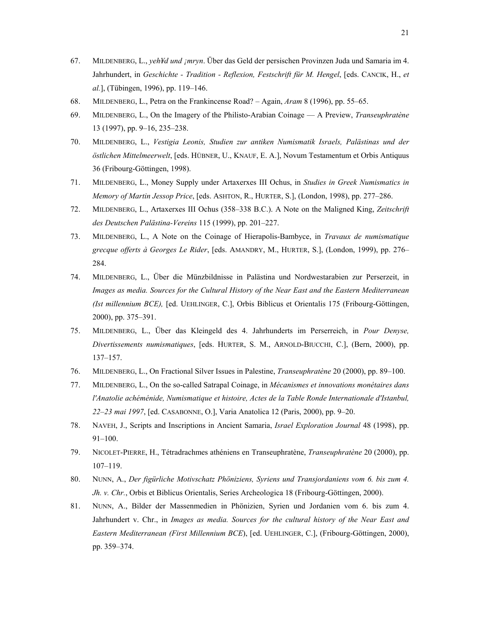- 67. MILDENBERG, L., *yeh¥d und ¡mryn*. Über das Geld der persischen Provinzen Juda und Samaria im 4. Jahrhundert, in *Geschichte - Tradition - Reflexion, Festschrift für M. Hengel*, [eds. CANCIK, H., *et al.*], (Tübingen, 1996), pp. 119–146.
- 68. MILDENBERG, L., Petra on the Frankincense Road? Again, *Aram* 8 (1996), pp. 55–65.
- 69. MILDENBERG, L., On the Imagery of the Philisto-Arabian Coinage A Preview, *Transeuphratène* 13 (1997), pp. 9–16, 235–238.
- 70. MILDENBERG, L., *Vestigia Leonis, Studien zur antiken Numismatik Israels, Palästinas und der östlichen Mittelmeerwelt*, [eds. HÜBNER, U., KNAUF, E. A.], Novum Testamentum et Orbis Antiquus 36 (Fribourg-Göttingen, 1998).
- 71. MILDENBERG, L., Money Supply under Artaxerxes III Ochus, in *Studies in Greek Numismatics in Memory of Martin Jessop Price*, [eds. ASHTON, R., HURTER, S.], (London, 1998), pp. 277–286.
- 72. MILDENBERG, L., Artaxerxes III Ochus (358–338 B.C.). A Note on the Maligned King, *Zeitschrift des Deutschen Palästina-Vereins* 115 (1999), pp. 201–227.
- 73. MILDENBERG, L., A Note on the Coinage of Hierapolis-Bambyce, in *Travaux de numismatique grecque offerts à Georges Le Rider*, [eds. AMANDRY, M., HURTER, S.], (London, 1999), pp. 276– 284.
- 74. MILDENBERG, L., Über die Münzbildnisse in Palästina und Nordwestarabien zur Perserzeit, in *Images as media. Sources for the Cultural History of the Near East and the Eastern Mediterranean (Ist millennium BCE),* [ed. UEHLINGER, C.], Orbis Biblicus et Orientalis 175 (Fribourg-Göttingen, 2000), pp. 375–391.
- 75. MILDENBERG, L., Über das Kleingeld des 4. Jahrhunderts im Perserreich, in *Pour Denyse, Divertissements numismatiques*, [eds. HURTER, S. M., ARNOLD-BIUCCHI, C.], (Bern, 2000), pp. 137–157.
- 76. MILDENBERG, L., On Fractional Silver Issues in Palestine, *Transeuphratène* 20 (2000), pp. 89–100.
- 77. MILDENBERG, L., On the so-called Satrapal Coinage, in *Mécanismes et innovations monétaires dans l'Anatolie achéménide, Numismatique et histoire, Actes de la Table Ronde Internationale d'Istanbul, 22–23 mai 1997*, [ed. CASABONNE, O.], Varia Anatolica 12 (Paris, 2000), pp. 9–20.
- 78. NAVEH, J., Scripts and Inscriptions in Ancient Samaria, *Israel Exploration Journal* 48 (1998), pp. 91–100.
- 79. NICOLET-PIERRE, H., Tétradrachmes athéniens en Transeuphratène, *Transeuphratène* 20 (2000), pp. 107–119.
- 80. NUNN, A., *Der figürliche Motivschatz Phöniziens, Syriens und Transjordaniens vom 6. bis zum 4. Jh. v. Chr.*, Orbis et Biblicus Orientalis, Series Archeologica 18 (Fribourg-Göttingen, 2000).
- 81. NUNN, A., Bilder der Massenmedien in Phönizien, Syrien und Jordanien vom 6. bis zum 4. Jahrhundert v. Chr., in *Images as media. Sources for the cultural history of the Near East and Eastern Mediterranean (First Millennium BCE*), [ed. UEHLINGER, C.], (Fribourg-Göttingen, 2000), pp. 359–374.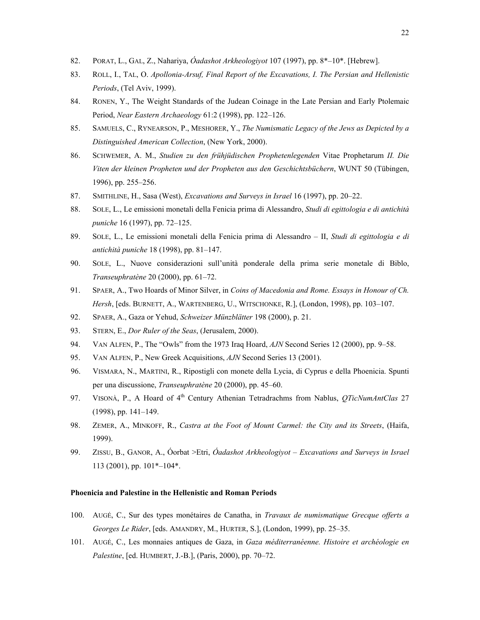- 82. PORAT, L., GAL, Z., Nahariya, *Óadashot Arkheologiyot* 107 (1997), pp. 8\*–10\*. [Hebrew].
- 83. ROLL, I., TAL, O. *Apollonia-Arsuf, Final Report of the Excavations, I. The Persian and Hellenistic Periods*, (Tel Aviv, 1999).
- 84. RONEN, Y., The Weight Standards of the Judean Coinage in the Late Persian and Early Ptolemaic Period, *Near Eastern Archaeology* 61:2 (1998), pp. 122–126.
- 85. SAMUELS, C., RYNEARSON, P., MESHORER, Y., *The Numismatic Legacy of the Jews as Depicted by a Distinguished American Collection*, (New York, 2000).
- 86. SCHWEMER, A. M., *Studien zu den frühjüdischen Prophetenlegenden* Vitae Prophetarum *II. Die Viten der kleinen Propheten und der Propheten aus den Geschichtsbüchern*, WUNT 50 (Tübingen, 1996), pp. 255–256.
- 87. SMITHLINE, H., Sasa (West), *Excavations and Surveys in Israel* 16 (1997), pp. 20–22.
- 88. SOLE, L., Le emissioni monetali della Fenicia prima di Alessandro, *Studi di egittologia e di antichità puniche* 16 (1997), pp. 72–125.
- 89. SOLE, L., Le emissioni monetali della Fenicia prima di Alessandro II, *Studi di egittologia e di antichità puniche* 18 (1998), pp. 81–147.
- 90. SOLE, L., Nuove considerazioni sull'unità ponderale della prima serie monetale di Biblo, *Transeuphratène* 20 (2000), pp. 61–72.
- 91. SPAER, A., Two Hoards of Minor Silver, in *Coins of Macedonia and Rome. Essays in Honour of Ch. Hersh*, [eds. BURNETT, A., WARTENBERG, U., WITSCHONKE, R.], (London, 1998), pp. 103–107.
- 92. SPAER, A., Gaza or Yehud, *Schweizer Münzblätter* 198 (2000), p. 21.
- 93. STERN, E., *Dor Ruler of the Seas*, (Jerusalem, 2000).
- 94. VAN ALFEN, P., The "Owls" from the 1973 Iraq Hoard, *AJN* Second Series 12 (2000), pp. 9–58.
- 95. VAN ALFEN, P., New Greek Acquisitions, *AJN* Second Series 13 (2001).
- 96. VISMARA, N., MARTINI, R., Ripostigli con monete della Lycia, di Cyprus e della Phoenicia. Spunti per una discussione, *Transeuphratène* 20 (2000), pp. 45–60.
- 97. VISONÀ, P., A Hoard of 4th Century Athenian Tetradrachms from Nablus, *QTicNumAntClas* 27 (1998), pp. 141–149.
- 98. ZEMER, A., MINKOFF, R., *Castra at the Foot of Mount Carmel: the City and its Streets*, (Haifa, 1999).
- 99. ZISSU, B., GANOR, A., Óorbat >Etri, *Óadashot Arkheologiyot Excavations and Surveys in Israel* 113 (2001), pp. 101\*–104\*.

#### **Phoenicia and Palestine in the Hellenistic and Roman Periods**

- 100. AUGÉ, C., Sur des types monétaires de Canatha, in *Travaux de numismatique Grecque offerts a Georges Le Rider*, [eds. AMANDRY, M., HURTER, S.], (London, 1999), pp. 25–35.
- 101. AUGÉ, C., Les monnaies antiques de Gaza, in *Gaza méditerranéenne. Histoire et archéologie en Palestine*, [ed. HUMBERT, J.-B.], (Paris, 2000), pp. 70–72.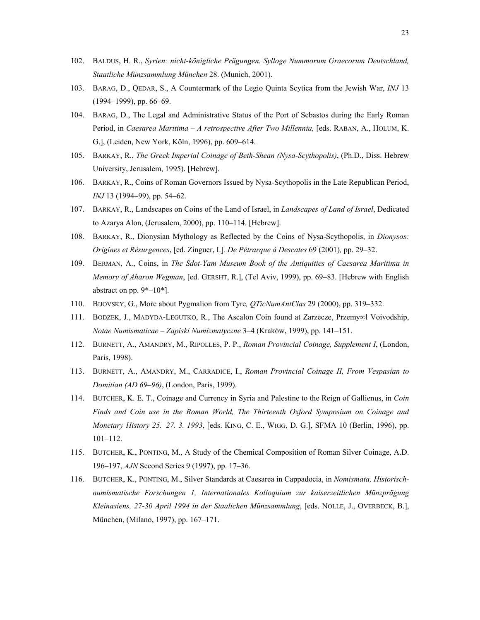- 102. BALDUS, H. R., *Syrien: nicht-königliche Prägungen. Sylloge Nummorum Graecorum Deutschland, Staatliche Münzsammlung München* 28. (Munich, 2001).
- 103. BARAG, D., QEDAR, S., A Countermark of the Legio Quinta Scytica from the Jewish War, *INJ* 13 (1994–1999), pp. 66–69.
- 104. BARAG, D., The Legal and Administrative Status of the Port of Sebastos during the Early Roman Period, in *Caesarea Maritima - A retrospective After Two Millennia*, [eds. RABAN, A., HOLUM, K. G.], (Leiden, New York, Köln, 1996), pp. 609–614.
- 105. BARKAY, R., *The Greek Imperial Coinage of Beth-Shean (Nysa-Scythopolis)*, (Ph.D., Diss. Hebrew University, Jerusalem, 1995). [Hebrew].
- 106. BARKAY, R., Coins of Roman Governors Issued by Nysa-Scythopolis in the Late Republican Period, *INJ* 13 (1994–99), pp. 54–62.
- 107. BARKAY, R., Landscapes on Coins of the Land of Israel, in *Landscapes of Land of Israel*, Dedicated to Azarya Alon, (Jerusalem, 2000), pp. 110–114. [Hebrew].
- 108. BARKAY, R., Dionysian Mythology as Reflected by the Coins of Nysa-Scythopolis, in *Dionysos: Origines et Résurgences*, [ed. Zinguer, I.]*. De Pétrarque à Descates* 69 (2001)*,* pp. 29–32.
- 109. BERMAN, A., Coins, in *The Sdot-Yam Museum Book of the Antiquities of Caesarea Maritima in Memory of Aharon Wegman*, [ed. GERSHT, R.], (Tel Aviv, 1999), pp. 69–83. [Hebrew with English abstract on pp. 9\*–10\*].
- 110. BIJOVSKY, G., More about Pygmalion from Tyre*, QTicNumAntClas* 29 (2000), pp. 319–332.
- 111. BODZEK, J., MADYDA-LEGUTKO, R., The Ascalon Coin found at Zarzecze, Przemy∞l Voivodship, *Notae Numismaticae* – *Zapiski Numizmatyczne* 3–4 (Kraków, 1999), pp. 141–151.
- 112. BURNETT, A., AMANDRY, M., RIPOLLES, P. P., *Roman Provincial Coinage, Supplement I*, (London, Paris, 1998).
- 113. BURNETT, A., AMANDRY, M., CARRADICE, I., *Roman Provincial Coinage II, From Vespasian to Domitian (AD 69–96)*, (London, Paris, 1999).
- 114. BUTCHER, K. E. T., Coinage and Currency in Syria and Palestine to the Reign of Gallienus, in *Coin Finds and Coin use in the Roman World, The Thirteenth Oxford Symposium on Coinage and Monetary History 25.–27. 3. 1993*, [eds. KING, C. E., WIGG, D. G.], SFMA 10 (Berlin, 1996), pp. 101–112.
- 115. BUTCHER, K., PONTING, M., A Study of the Chemical Composition of Roman Silver Coinage, A.D. 196–197, *AJN* Second Series 9 (1997), pp. 17–36.
- 116. BUTCHER, K., PONTING, M., Silver Standards at Caesarea in Cappadocia, in *Nomismata, Historischnumismatische Forschungen 1, Internationales Kolloquium zur kaiserzeitlichen Münzprägung Kleinasiens, 27-30 April 1994 in der Staalichen Münzsammlung*, [eds. NOLLE, J., OVERBECK, B.], München, (Milano, 1997), pp. 167–171.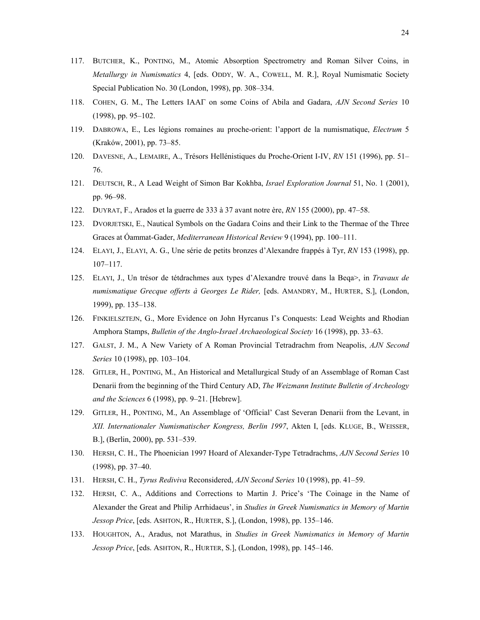- 117. BUTCHER, K., PONTING, M., Atomic Absorption Spectrometry and Roman Silver Coins, in *Metallurgy in Numismatics* 4, [eds. ODDY, W. A., COWELL, M. R.], Royal Numismatic Society Special Publication No. 30 (London, 1998), pp. 308–334.
- 118. COHEN, G. M., The Letters ΙΑΑΓ on some Coins of Abila and Gadara, *AJN Second Series* 10 (1998), pp. 95–102.
- 119. DABROWA, E., Les légions romaines au proche-orient: l'apport de la numismatique, *Electrum* 5 (Kraków, 2001), pp. 73–85.
- 120. DAVESNE, A., LEMAIRE, A., Trésors Hellénistiques du Proche-Orient I-IV, *RN* 151 (1996), pp. 51– 76.
- 121. DEUTSCH, R., A Lead Weight of Simon Bar Kokhba, *Israel Exploration Journal* 51, No. 1 (2001), pp. 96–98.
- 122. DUYRAT, F., Arados et la guerre de 333 à 37 avant notre ère, *RN* 155 (2000), pp. 47–58.
- 123. DVORJETSKI, E., Nautical Symbols on the Gadara Coins and their Link to the Thermae of the Three Graces at Óammat-Gader, *Mediterranean Historical Review* 9 (1994), pp. 100–111.
- 124. ELAYI, J., ELAYI, A. G., Une série de petits bronzes d'Alexandre frappés à Tyr, *RN* 153 (1998), pp. 107–117.
- 125. ELAYI, J., Un trésor de tétdrachmes aux types d'Alexandre trouvé dans la Beqa>, in *Travaux de numismatique Grecque offerts à Georges Le Rider,* [eds. AMANDRY, M., HURTER, S.], (London, 1999), pp. 135–138.
- 126. FINKIELSZTEJN, G., More Evidence on John Hyrcanus I's Conquests: Lead Weights and Rhodian Amphora Stamps, *Bulletin of the Anglo-Israel Archaeological Society* 16 (1998), pp. 33–63.
- 127. GALST, J. M., A New Variety of A Roman Provincial Tetradrachm from Neapolis, *AJN Second Series* 10 (1998), pp. 103–104.
- 128. GITLER, H., PONTING, M., An Historical and Metallurgical Study of an Assemblage of Roman Cast Denarii from the beginning of the Third Century AD, *The Weizmann Institute Bulletin of Archeology and the Sciences* 6 (1998), pp. 9–21. [Hebrew].
- 129. GITLER, H., PONTING, M., An Assemblage of 'Official' Cast Severan Denarii from the Levant, in *XII. Internationaler Numismatischer Kongress, Berlin 1997*, Akten I, [eds. KLUGE, B., WEISSER, B.], (Berlin, 2000), pp. 531–539.
- 130. HERSH, C. H., The Phoenician 1997 Hoard of Alexander-Type Tetradrachms, *AJN Second Series* 10 (1998), pp. 37–40.
- 131. HERSH, C. H., *Tyrus Rediviva* Reconsidered, *AJN Second Series* 10 (1998), pp. 41–59.
- 132. HERSH, C. A., Additions and Corrections to Martin J. Price's 'The Coinage in the Name of Alexander the Great and Philip Arrhidaeus', in *Studies in Greek Numismatics in Memory of Martin Jessop Price*, [eds. ASHTON, R., HURTER, S.], (London, 1998), pp. 135–146.
- 133. HOUGHTON, A., Aradus, not Marathus, in *Studies in Greek Numismatics in Memory of Martin Jessop Price*, [eds. ASHTON, R., HURTER, S.], (London, 1998), pp. 145–146.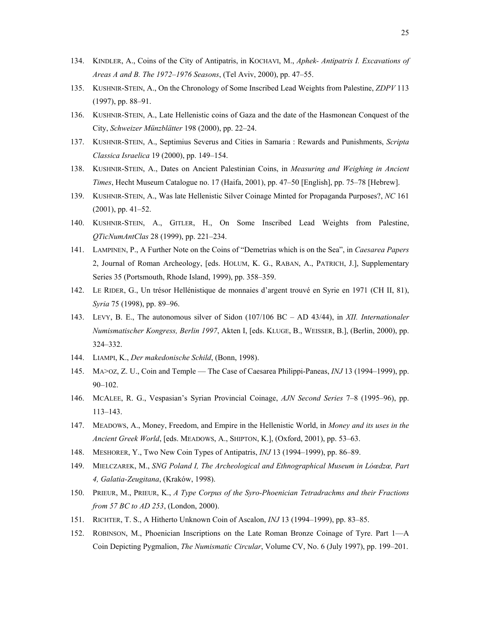- 134. KINDLER, A., Coins of the City of Antipatris, in KOCHAVI, M., *Aphek- Antipatris I. Excavations of Areas A and B. The 1972–1976 Seasons*, (Tel Aviv, 2000), pp. 47–55.
- 135. KUSHNIR-STEIN, A., On the Chronology of Some Inscribed Lead Weights from Palestine, *ZDPV* 113 (1997), pp. 88–91.
- 136. KUSHNIR-STEIN, A., Late Hellenistic coins of Gaza and the date of the Hasmonean Conquest of the City, *Schweizer Münzblätter* 198 (2000), pp. 22–24.
- 137. KUSHNIR-STEIN, A., Septimius Severus and Cities in Samaria : Rewards and Punishments, *Scripta Classica Israelica* 19 (2000), pp. 149–154.
- 138. KUSHNIR-STEIN, A., Dates on Ancient Palestinian Coins, in *Measuring and Weighing in Ancient Times*, Hecht Museum Catalogue no. 17 (Haifa, 2001), pp. 47–50 [English], pp. 75–78 [Hebrew].
- 139. KUSHNIR-STEIN, A., Was late Hellenistic Silver Coinage Minted for Propaganda Purposes?, *NC* 161 (2001), pp. 41–52.
- 140. KUSHNIR-STEIN, A., GITLER, H., On Some Inscribed Lead Weights from Palestine, *QTicNumAntClas* 28 (1999), pp. 221–234.
- 141. LAMPINEN, P., A Further Note on the Coins of "Demetrias which is on the Sea", in *Caesarea Papers*  2, Journal of Roman Archeology, [eds. HOLUM, K. G., RABAN, A., PATRICH, J.], Supplementary Series 35 (Portsmouth, Rhode Island, 1999), pp. 358–359.
- 142. LE RIDER, G., Un trésor Hellénistique de monnaies d'argent trouvé en Syrie en 1971 (CH II, 81), *Syria* 75 (1998), pp. 89–96.
- 143. LEVY, B. E., The autonomous silver of Sidon (107/106 BC AD 43/44), in *XII. Internationaler Numismatischer Kongress, Berlin 1997*, Akten I, [eds. KLUGE, B., WEISSER, B.], (Berlin, 2000), pp. 324–332.
- 144. LIAMPI, K., *Der makedonische Schild*, (Bonn, 1998).
- 145. MA>OZ, Z. U., Coin and Temple The Case of Caesarea Philippi-Paneas, *INJ* 13 (1994–1999), pp. 90–102.
- 146. MCALEE, R. G., Vespasian's Syrian Provincial Coinage, *AJN Second Series* 7–8 (1995–96), pp. 113–143.
- 147. MEADOWS, A., Money, Freedom, and Empire in the Hellenistic World, in *Money and its uses in the Ancient Greek World*, [eds. MEADOWS, A., SHIPTON, K.], (Oxford, 2001), pp. 53–63.
- 148. MESHORER, Y., Two New Coin Types of Antipatris, *INJ* 13 (1994–1999), pp. 86–89.
- 149. MIELCZAREK, M., *SNG Poland I, The Archeological and Ethnographical Museum in Lóœdzœ, Part 4, Galatia-Zeugitana*, (Kraków, 1998).
- 150. PRIEUR, M., PRIEUR, K., *A Type Corpus of the Syro-Phoenician Tetradrachms and their Fractions from 57 BC to AD 253*, (London, 2000).
- 151. RICHTER, T. S., A Hitherto Unknown Coin of Ascalon, *INJ* 13 (1994–1999), pp. 83–85.
- 152. ROBINSON, M., Phoenician Inscriptions on the Late Roman Bronze Coinage of Tyre. Part 1—A Coin Depicting Pygmalion, *The Numismatic Circular*, Volume CV, No. 6 (July 1997), pp. 199–201.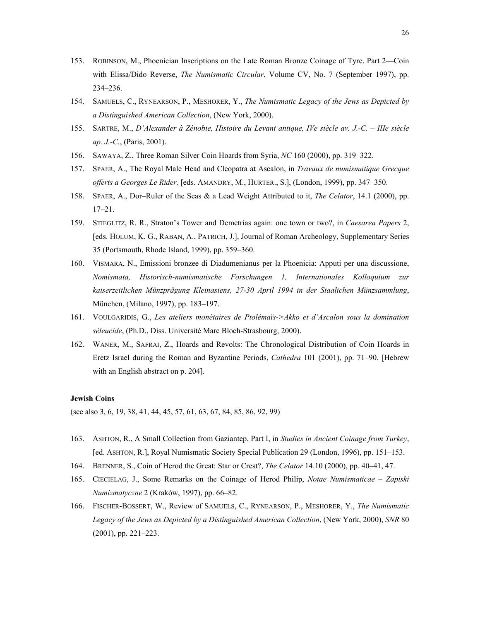- 153. ROBINSON, M., Phoenician Inscriptions on the Late Roman Bronze Coinage of Tyre. Part 2—Coin with Elissa/Dido Reverse, *The Numismatic Circular*, Volume CV, No. 7 (September 1997), pp. 234–236.
- 154. SAMUELS, C., RYNEARSON, P., MESHORER, Y., *The Numismatic Legacy of the Jews as Depicted by a Distinguished American Collection*, (New York, 2000).
- 155. SARTRE, M., *D'Alexander à Zénobie, Histoire du Levant antique, IVe siècle av. J.-C. IIIe siècle ap. J.-C.*, (Paris, 2001).
- 156. SAWAYA, Z., Three Roman Silver Coin Hoards from Syria, *NC* 160 (2000), pp. 319–322.
- 157. SPAER, A., The Royal Male Head and Cleopatra at Ascalon, in *Travaux de numismatique Grecque offerts a Georges Le Rider,* [eds. AMANDRY, M., HURTER., S.], (London, 1999), pp. 347–350.
- 158. SPAER, A., Dor–Ruler of the Seas & a Lead Weight Attributed to it, *The Celator*, 14.1 (2000), pp. 17–21.
- 159. STIEGLITZ, R. R., Straton's Tower and Demetrias again: one town or two?, in *Caesarea Papers* 2, [eds. HOLUM, K. G., RABAN, A., PATRICH, J.], Journal of Roman Archeology, Supplementary Series 35 (Portsmouth, Rhode Island, 1999), pp. 359–360.
- 160. VISMARA, N., Emissioni bronzee di Diadumenianus per la Phoenicia: Apputi per una discussione, *Nomismata, Historisch-numismatische Forschungen 1, Internationales Kolloquium zur kaiserzeitlichen Münzprägung Kleinasiens, 27-30 April 1994 in der Staalichen Münzsammlung*, München, (Milano, 1997), pp. 183–197.
- 161. VOULGARIDIS, G., *Les ateliers monétaires de Ptolémaïs->Akko et d'Ascalon sous la domination séleucide*, (Ph.D., Diss. Université Marc Bloch-Strasbourg, 2000).
- 162. WANER, M., SAFRAI, Z., Hoards and Revolts: The Chronological Distribution of Coin Hoards in Eretz Israel during the Roman and Byzantine Periods, *Cathedra* 101 (2001), pp. 71–90. [Hebrew with an English abstract on p. 204].

#### **Jewish Coins**

(see also 3, 6, 19, 38, 41, 44, 45, 57, 61, 63, 67, 84, 85, 86, 92, 99)

- 163. ASHTON, R., A Small Collection from Gaziantep, Part I, in *Studies in Ancient Coinage from Turkey*, [ed. ASHTON, R*.*], Royal Numismatic Society Special Publication 29 (London, 1996), pp. 151–153.
- 164. BRENNER, S., Coin of Herod the Great: Star or Crest?, *The Celator* 14.10 (2000), pp. 40–41, 47.
- 165. CIECIELAG, J., Some Remarks on the Coinage of Herod Philip, *Notae Numismaticae Zapiski Numizmatyczne* 2 (Kraków, 1997), pp. 66–82.
- 166. FISCHER-BOSSERT, W., Review of SAMUELS, C., RYNEARSON, P., MESHORER, Y., *The Numismatic Legacy of the Jews as Depicted by a Distinguished American Collection*, (New York, 2000), *SNR* 80 (2001), pp. 221–223.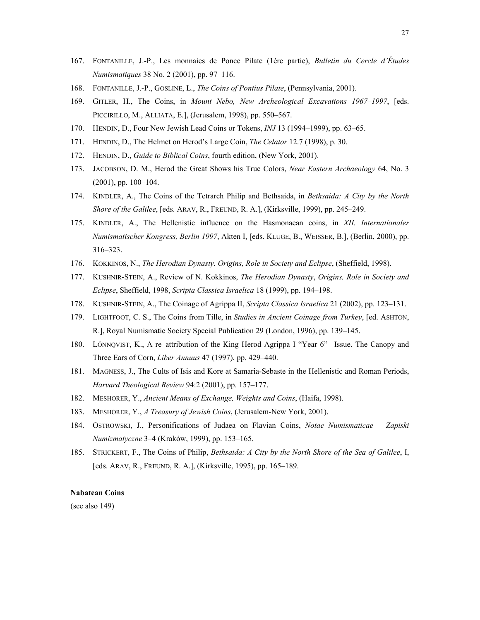- 167. FONTANILLE, J.-P., Les monnaies de Ponce Pilate (1ère partie), *Bulletin du Cercle d'Études Numismatiques* 38 No. 2 (2001), pp. 97–116.
- 168. FONTANILLE, J.-P., GOSLINE, L., *The Coins of Pontius Pilate*, (Pennsylvania, 2001).
- 169. GITLER, H., The Coins, in *Mount Nebo, New Archeological Excavations 1967–1997*, [eds. PICCIRILLO, M., ALLIATA, E.], (Jerusalem, 1998), pp. 550–567.
- 170. HENDIN, D., Four New Jewish Lead Coins or Tokens, *INJ* 13 (1994–1999), pp. 63–65.
- 171. HENDIN, D., The Helmet on Herod's Large Coin, *The Celator* 12.7 (1998), p. 30.
- 172. HENDIN, D., *Guide to Biblical Coins*, fourth edition, (New York, 2001).
- 173. JACOBSON, D. M., Herod the Great Shows his True Colors, *Near Eastern Archaeology* 64, No. 3 (2001), pp. 100–104.
- 174. KINDLER, A., The Coins of the Tetrarch Philip and Bethsaida, in *Bethsaida: A City by the North Shore of the Galilee*, [eds. ARAV, R., FREUND, R. A.], (Kirksville, 1999), pp. 245–249.
- 175. KINDLER, A., The Hellenistic influence on the Hasmonaean coins, in *XII. Internationaler Numismatischer Kongress, Berlin 1997*, Akten I, [eds. KLUGE, B., WEISSER, B.], (Berlin, 2000), pp. 316–323.
- 176. KOKKINOS, N., *The Herodian Dynasty. Origins, Role in Society and Eclipse*, (Sheffield, 1998).
- 177. KUSHNIR-STEIN, A., Review of N. Kokkinos, *The Herodian Dynasty*, *Origins, Role in Society and Eclipse*, Sheffield, 1998, *Scripta Classica Israelica* 18 (1999), pp. 194–198.
- 178. KUSHNIR-STEIN, A., The Coinage of Agrippa II, *Scripta Classica Israelica* 21 (2002), pp. 123–131.
- 179. LIGHTFOOT, C. S., The Coins from Tille, in *Studies in Ancient Coinage from Turkey*, [ed. ASHTON, R.], Royal Numismatic Society Special Publication 29 (London, 1996), pp. 139–145.
- 180. LÖNNQVIST, K., A re–attribution of the King Herod Agrippa I "Year 6"– Issue. The Canopy and Three Ears of Corn, *Liber Annuus* 47 (1997), pp. 429–440.
- 181. MAGNESS, J., The Cults of Isis and Kore at Samaria-Sebaste in the Hellenistic and Roman Periods, *Harvard Theological Review* 94:2 (2001), pp. 157–177.
- 182. MESHORER, Y., *Ancient Means of Exchange, Weights and Coins*, (Haifa, 1998).
- 183. MESHORER, Y., *A Treasury of Jewish Coins*, (Jerusalem-New York, 2001).
- 184. OSTROWSKI, J., Personifications of Judaea on Flavian Coins, *Notae Numismaticae Zapiski Numizmatyczne* 3–4 (Kraków, 1999), pp. 153–165.
- 185. STRICKERT, F., The Coins of Philip, *Bethsaida: A City by the North Shore of the Sea of Galilee*, I, [eds. ARAV, R., FREUND, R. A.], (Kirksville, 1995), pp. 165–189.

### **Nabatean Coins**

(see also 149)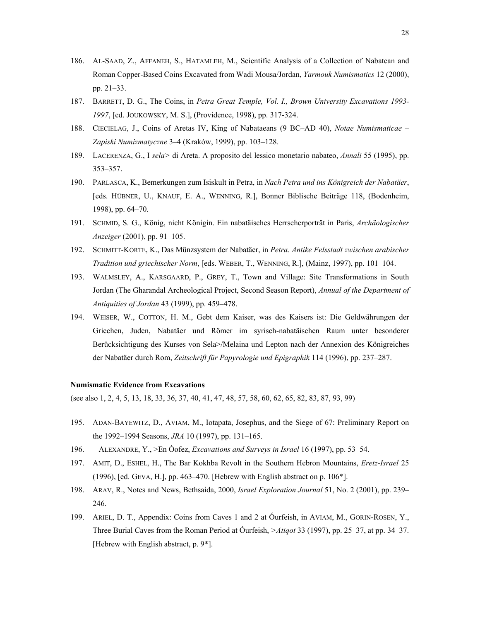- 186. AL-SAAD, Z., AFFANEH, S., HATAMLEH, M., Scientific Analysis of a Collection of Nabatean and Roman Copper-Based Coins Excavated from Wadi Mousa/Jordan, *Yarmouk Numismatics* 12 (2000), pp. 21–33.
- 187. BARRETT, D. G., The Coins, in *Petra Great Temple, Vol. I., Brown University Excavations 1993- 1997*, [ed. JOUKOWSKY, M. S.], (Providence, 1998), pp. 317-324.
- 188. CIECIELAG, J., Coins of Aretas IV, King of Nabataeans (9 BC–AD 40), *Notae Numismaticae Zapiski Numizmatyczne* 3–4 (Kraków, 1999), pp. 103–128.
- 189. LACERENZA, G., I *sela>* di Areta. A proposito del lessico monetario nabateo, *Annali* 55 (1995), pp. 353–357.
- 190. PARLASCA, K., Bemerkungen zum Isiskult in Petra, in *Nach Petra und ins Königreich der Nabatäer*, [eds. HÜBNER, U., KNAUF, E. A., WENNING, R.], Bonner Biblische Beiträge 118, (Bodenheim, 1998), pp. 64–70.
- 191. SCHMID, S. G., König, nicht Königin. Ein nabatäisches Herrscherporträt in Paris, *Archäologischer Anzeiger* (2001), pp. 91–105.
- 192. SCHMITT-KORTE, K., Das Münzsystem der Nabatäer, in *Petra. Antike Felsstadt zwischen arabischer Tradition und griechischer Norm*, [eds. WEBER, T., WENNING, R.], (Mainz, 1997), pp. 101–104.
- 193. WALMSLEY, A., KARSGAARD, P., GREY, T., Town and Village: Site Transformations in South Jordan (The Gharandal Archeological Project, Second Season Report), *Annual of the Department of Antiquities of Jordan* 43 (1999), pp. 459–478.
- 194. WEISER, W., COTTON, H. M., Gebt dem Kaiser, was des Kaisers ist: Die Geldwährungen der Griechen, Juden, Nabatäer und Römer im syrisch-nabatäischen Raum unter besonderer Berücksichtigung des Kurses von Sela>/Melaina und Lepton nach der Annexion des Königreiches der Nabatäer durch Rom, *Zeitschrift für Papyrologie und Epigraphik* 114 (1996), pp. 237–287.

### **Numismatic Evidence from Excavations**

(see also 1, 2, 4, 5, 13, 18, 33, 36, 37, 40, 41, 47, 48, 57, 58, 60, 62, 65, 82, 83, 87, 93, 99)

- 195. ADAN-BAYEWITZ, D., AVIAM, M., Iotapata, Josephus, and the Siege of 67: Preliminary Report on the 1992–1994 Seasons, *JRA* 10 (1997), pp. 131–165.
- 196. ALEXANDRE, Y., >En Óofez, *Excavations and Surveys in Israel* 16 (1997), pp. 53–54.
- 197. AMIT, D., ESHEL, H., The Bar Kokhba Revolt in the Southern Hebron Mountains, *Eretz-Israel* 25 (1996), [ed. GEVA, H.], pp. 463–470. [Hebrew with English abstract on p. 106\*].
- 198. ARAV, R., Notes and News, Bethsaida, 2000, *Israel Exploration Journal* 51, No. 2 (2001), pp. 239– 246.
- 199. ARIEL, D. T., Appendix: Coins from Caves 1 and 2 at Óurfeish, in AVIAM, M., GORIN-ROSEN, Y., Three Burial Caves from the Roman Period at Óurfeish, *>Atiqot* 33 (1997), pp. 25–37, at pp. 34–37. [Hebrew with English abstract, p. 9\*].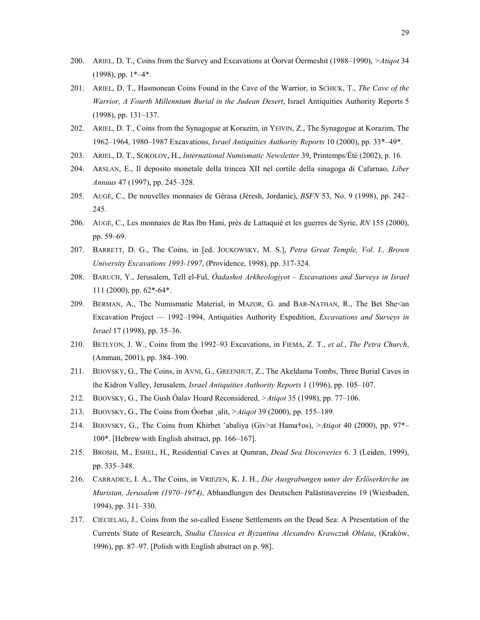- 200. ARIEL, D. T., Coins from the Survey and Excavations at Óorvat Óermeshit (1988–1990), *>Atiqot* 34  $(1998)$ , pp.  $1*-4*.$
- 201. ARIEL, D. T., Hasmonean Coins Found in the Cave of the Warrior, in SCHICK, T., *The Cave of the Warrior, A Fourth Millennium Burial in the Judean Desert*, Israel Antiquities Authority Reports 5 (1998), pp. 131–137.
- 202. ARIEL, D. T., Coins from the Synagogue at Korazim, in YEIVIN, Z., The Synagogue at Korazim, The 1962–1964, 1980–1987 Excavations, *Israel Antiquities Authority Reports* 10 (2000), pp. 33\*–49\*.
- 203. ARIEL, D. T., SOKOLOV, H., *International Numismatic Newsletter* 39, Printemps/Été (2002), p. 16.
- 204. ARSLAN, E., Il deposito monetale della trincea XII nel cortile della sinagoga di Cafarnao, *Liber Annuus* 47 (1997), pp. 245–328.
- 205. AUGÉ, C., De nouvelles monnaies de Gérasa (Jéresh, Jordanie), *BSFN* 53, No. 9 (1998), pp. 242– 245.
- 206. AUGÉ, C., Les monnaies de Ras Ibn Hani, prés de Lattaquié et les guerres de Syrie, *RN* 155 (2000), pp. 59–69.
- 207. BARRETT, D. G., The Coins, in [ed. JOUKOWSKY, M. S.], *Petra Great Temple, Vol. I., Brown University Excavations 1993-1997*, (Providence, 1998), pp. 317-324.
- 208. BARUCH, Y., Jerusalem, Tell el-Ful, *Óadashot Arkheologiyot Excavations and Surveys in Israel* 111 (2000), pp. 62\*-64\*.
- 209. BERMAN, A., The Numismatic Material, in MAZOR, G. and BAR-NATHAN, R., The Bet She<an Excavation Project — 1992–1994, Antiquities Authority Expedition, *Excavations and Surveys in Israel* 17 (1998), pp. 35–36.
- 210. BETLYON, J. W., Coins from the 1992–93 Excavations, in FIEMA, Z. T., *et al.*, *The Petra Church*, (Amman, 2001), pp. 384–390.
- 211. BIJOVSKY, G., The Coins, in AVNI, G., GREENHUT, Z., The Akeldama Tombs, Three Burial Caves in the Kidron Valley, Jerusalem, *Israel Antiquities Authority Reports* 1 (1996), pp. 105–107.
- 212. BIJOVSKY, G., The Gush Óalav Hoard Reconsidered, *>Atiqot* 35 (1998), pp. 77–106.
- 213. BIJOVSKY, G., The Coins from Óorbat ¸alit, *>Atiqot* 39 (2000), pp. 155–189.
- 214. BIJOVSKY, G., The Coins from Khirbet ˇabaliya (Giv>at Hama†os), *>Atiqot* 40 (2000), pp. 97\*– 100\*. [Hebrew with English abstract, pp. 166–167].
- 215. BROSHI, M., ESHEL, H., Residential Caves at Qumran, *Dead Sea Discoveries* 6. 3 (Leiden, 1999), pp. 335–348.
- 216. CARRADICE, I. A., The Coins, in VRIEZEN, K. J. H., *Die Ausgrabungen unter der Erlöserkirche im Muristan, Jerusalem (1970–1974)*, Abhandlungen des Deutschen Palästinavereins 19 (Wiesbaden, 1994), pp. 311–330.
- 217. CIECIELAG, J., Coins from the so-called Essene Settlements on the Dead Sea: A Presentation of the Currents State of Research, *Studia Classica et Byzantina Alexandro Krawczuk Oblata*, (Kraków, 1996), pp. 87–97. [Polish with English abstract on p. 98].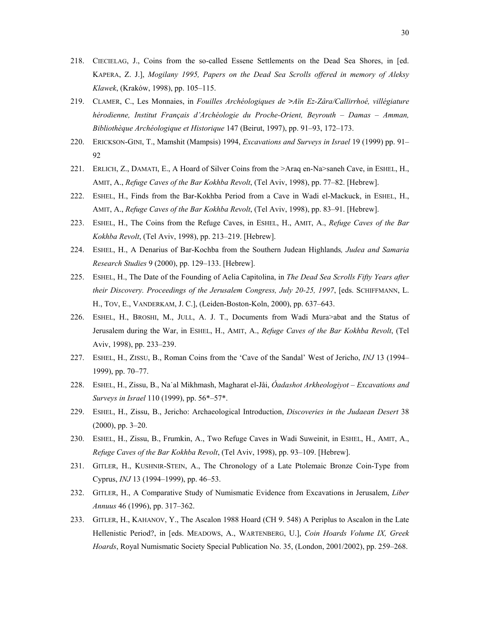- 218. CIECIELAG, J., Coins from the so-called Essene Settlements on the Dead Sea Shores, in [ed. KAPERA, Z. J.], *Mogilany 1995, Papers on the Dead Sea Scrolls offered in memory of Aleksy Klawek*, (Kraków, 1998), pp. 105–115.
- 219. CLAMER, C., Les Monnaies, in *Fouilles Archéologiques de >Aïn Ez-Zâra/Callirrhoé, villégiature hérodienne, Institut Français d'Archéologie du Proche-Orient, Beyrouth – Damas – Amman, Bibliothèque Archéologique et Historique* 147 (Beirut, 1997), pp. 91–93, 172–173.
- 220. ERICKSON-GINI, T., Mamshit (Mampsis) 1994, *Excavations and Surveys in Israel* 19 (1999) pp. 91– 92
- 221. ERLICH, Z., DAMATI, E., A Hoard of Silver Coins from the >Araq en-Na>saneh Cave, in ESHEL, H., AMIT, A., *Refuge Caves of the Bar Kokhba Revolt*, (Tel Aviv, 1998), pp. 77–82. [Hebrew].
- 222. ESHEL, H., Finds from the Bar-Kokhba Period from a Cave in Wadi el-Mackuck, in ESHEL, H., AMIT, A., *Refuge Caves of the Bar Kokhba Revolt*, (Tel Aviv, 1998), pp. 83–91. [Hebrew].
- 223. ESHEL, H., The Coins from the Refuge Caves, in ESHEL, H., AMIT, A., *Refuge Caves of the Bar Kokhba Revolt*, (Tel Aviv, 1998), pp. 213–219. [Hebrew].
- 224. ESHEL, H., A Denarius of Bar-Kochba from the Southern Judean Highlands*, Judea and Samaria Research Studies* 9 (2000), pp. 129–133. [Hebrew].
- 225. ESHEL, H., The Date of the Founding of Aelia Capitolina, in *The Dead Sea Scrolls Fifty Years after their Discovery. Proceedings of the Jerusalem Congress, July 20-25, 1997*, [eds. SCHIFFMANN, L. H., TOV, E., VANDERKAM, J. C.], (Leiden-Boston-Koln, 2000), pp. 637–643.
- 226. ESHEL, H., BROSHI, M., JULL, A. J. T., Documents from Wadi Mura>abat and the Status of Jerusalem during the War, in ESHEL, H., AMIT, A., *Refuge Caves of the Bar Kokhba Revolt*, (Tel Aviv, 1998), pp. 233–239.
- 227. ESHEL, H., ZISSU, B., Roman Coins from the 'Cave of the Sandal' West of Jericho, *INJ* 13 (1994– 1999), pp. 70–77.
- 228. ESHEL, H., Zissu, B., Na˙al Mikhmash, Magharat el-Jåi, *Óadashot Arkheologiyot Excavations and Surveys in Israel* 110 (1999), pp. 56\*–57\*.
- 229. ESHEL, H., Zissu, B., Jericho: Archaeological Introduction, *Discoveries in the Judaean Desert* 38 (2000), pp. 3–20.
- 230. ESHEL, H., Zissu, B., Frumkin, A., Two Refuge Caves in Wadi Suweinit, in ESHEL, H., AMIT, A., *Refuge Caves of the Bar Kokhba Revolt*, (Tel Aviv, 1998), pp. 93–109. [Hebrew].
- 231. GITLER, H., KUSHNIR-STEIN, A., The Chronology of a Late Ptolemaic Bronze Coin-Type from Cyprus, *INJ* 13 (1994–1999), pp. 46–53.
- 232. GITLER, H., A Comparative Study of Numismatic Evidence from Excavations in Jerusalem, *Liber Annuus* 46 (1996), pp. 317–362.
- 233. GITLER, H., KAHANOV, Y., The Ascalon 1988 Hoard (CH 9. 548) A Periplus to Ascalon in the Late Hellenistic Period?, in [eds. MEADOWS, A., WARTENBERG, U.], *Coin Hoards Volume IX, Greek Hoards*, Royal Numismatic Society Special Publication No. 35, (London, 2001/2002), pp. 259–268.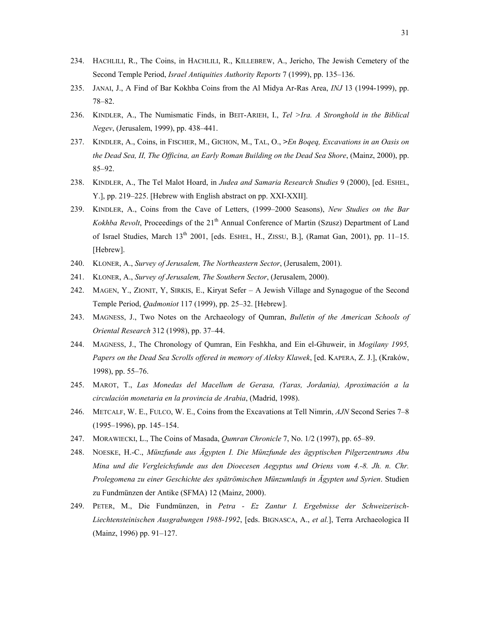- 234. HACHLILI, R., The Coins, in HACHLILI, R., KILLEBREW, A., Jericho, The Jewish Cemetery of the Second Temple Period, *Israel Antiquities Authority Reports* 7 (1999), pp. 135–136.
- 235. JANAI, J., A Find of Bar Kokhba Coins from the Al Midya Ar-Ras Area, *INJ* 13 (1994-1999), pp. 78–82.
- 236. KINDLER, A., The Numismatic Finds, in BEIT-ARIEH, I., *Tel >Ira. A Stronghold in the Biblical Negev*, (Jerusalem, 1999), pp. 438–441.
- 237. KINDLER, A., Coins, in FISCHER, M., GICHON, M., TAL, O., *>En Boqeq, Excavations in an Oasis on the Dead Sea, II, The Officina, an Early Roman Building on the Dead Sea Shore*, (Mainz, 2000), pp. 85–92.
- 238. KINDLER, A., The Tel Malot Hoard, in *Judea and Samaria Research Studies* 9 (2000), [ed. ESHEL, Y.], pp. 219–225. [Hebrew with English abstract on pp. XXI-XXII].
- 239. KINDLER, A., Coins from the Cave of Letters, (1999–2000 Seasons), *New Studies on the Bar Kokhba Revolt*, Proceedings of the 21<sup>th</sup> Annual Conference of Martin (Szusz) Department of Land of Israel Studies, March 13<sup>th</sup> 2001, [eds. ESHEL, H., ZISSU, B.], (Ramat Gan, 2001), pp. 11-15. [Hebrew].
- 240. KLONER, A., *Survey of Jerusalem, The Northeastern Sector*, (Jerusalem, 2001).
- 241. KLONER, A., *Survey of Jerusalem, The Southern Sector*, (Jerusalem, 2000).
- 242. MAGEN, Y., ZIONIT, Y, SIRKIS, E., Kiryat Sefer A Jewish Village and Synagogue of the Second Temple Period, *Qadmoniot* 117 (1999), pp. 25–32. [Hebrew].
- 243. MAGNESS, J., Two Notes on the Archaeology of Qumran, *Bulletin of the American Schools of Oriental Research* 312 (1998), pp. 37–44.
- 244. MAGNESS, J., The Chronology of Qumran, Ein Feshkha, and Ein el-Ghuweir, in *Mogilany 1995, Papers on the Dead Sea Scrolls offered in memory of Aleksy Klawek*, [ed. KAPERA, Z. J.], (Kraków, 1998), pp. 55–76.
- 245. MAROT, T., *Las Monedas del Macellum de Gerasa, (Yaras, Jordania), Aproximación a la circulación monetaria en la provincia de Arabia*, (Madrid, 1998).
- 246. METCALF, W. E., FULCO, W. E., Coins from the Excavations at Tell Nimrin, *AJN* Second Series 7–8 (1995–1996), pp. 145–154.
- 247. MORAWIECKI, L., The Coins of Masada, *Qumran Chronicle* 7, No. 1/2 (1997), pp. 65–89.
- 248. NOESKE, H.-C., *Münzfunde aus Ägypten I. Die Münzfunde des ägyptischen Pilgerzentrums Abu Mina und die Vergleichsfunde aus den Dioecesen Aegyptus und Oriens vom 4.-8. Jh. n. Chr. Prolegomena zu einer Geschichte des spätrömischen Münzumlaufs in Ägypten und Syrien*. Studien zu Fundmünzen der Antike (SFMA) 12 (Mainz, 2000).
- 249. PETER, M., Die Fundmünzen, in *Petra Ez Zantur I. Ergebnisse der Schweizerisch-Liechtensteinischen Ausgrabungen 1988-1992*, [eds. BIGNASCA, A., *et al.*], Terra Archaeologica II (Mainz, 1996) pp. 91–127.